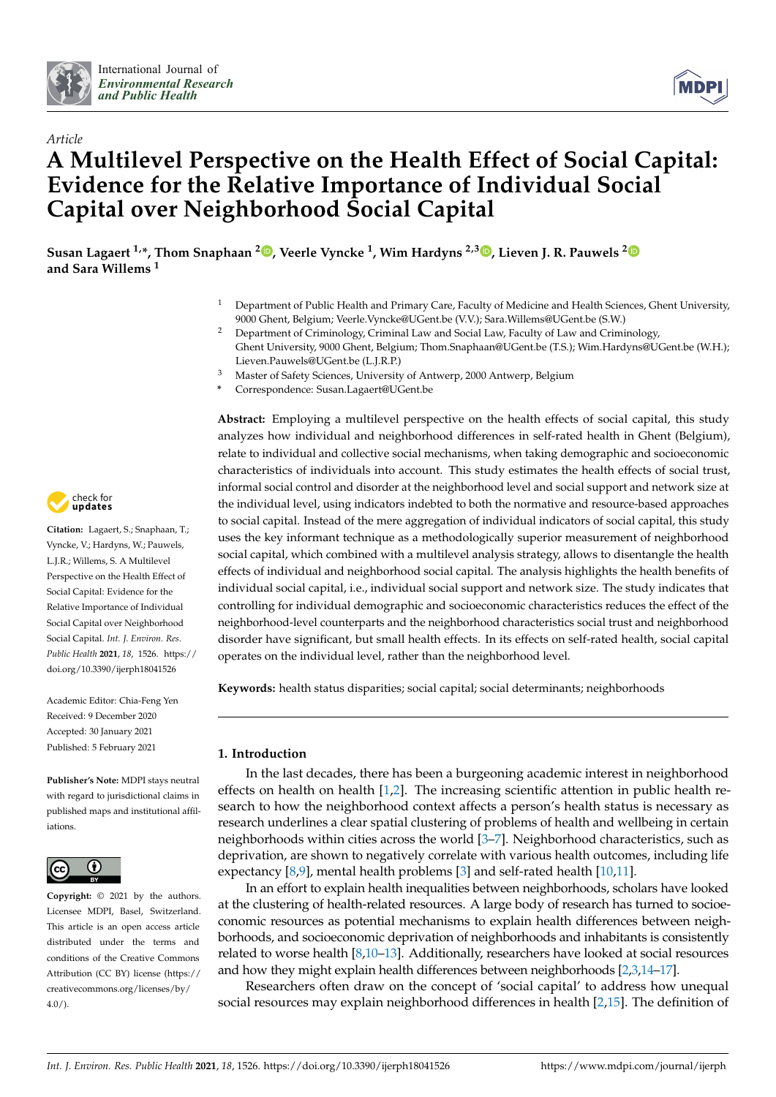



# *Article* **A Multilevel Perspective on the Health Effect of Social Capital: Evidence for the Relative Importance of Individual Social Capital over Neighborhood Social Capital**

**Susan Lagaert 1,\*, Thom Snaphaan <sup>2</sup> [,](https://orcid.org/0000-0002-7887-4723) Veerle Vyncke <sup>1</sup> , Wim Hardyns 2,[3](https://orcid.org/0000-0002-7677-5094) , Lieven J. R. Pauwels [2](https://orcid.org/0000-0002-4491-6374) and Sara Willems <sup>1</sup>**

- <sup>1</sup> Department of Public Health and Primary Care, Faculty of Medicine and Health Sciences, Ghent University, 9000 Ghent, Belgium; Veerle.Vyncke@UGent.be (V.V.); Sara.Willems@UGent.be (S.W.)
- <sup>2</sup> Department of Criminology, Criminal Law and Social Law, Faculty of Law and Criminology, Ghent University, 9000 Ghent, Belgium; Thom.Snaphaan@UGent.be (T.S.); Wim.Hardyns@UGent.be (W.H.); Lieven.Pauwels@UGent.be (L.J.R.P.)
- <sup>3</sup> Master of Safety Sciences, University of Antwerp, 2000 Antwerp, Belgium
- **\*** Correspondence: Susan.Lagaert@UGent.be

**Abstract:** Employing a multilevel perspective on the health effects of social capital, this study analyzes how individual and neighborhood differences in self-rated health in Ghent (Belgium), relate to individual and collective social mechanisms, when taking demographic and socioeconomic characteristics of individuals into account. This study estimates the health effects of social trust, informal social control and disorder at the neighborhood level and social support and network size at the individual level, using indicators indebted to both the normative and resource-based approaches to social capital. Instead of the mere aggregation of individual indicators of social capital, this study uses the key informant technique as a methodologically superior measurement of neighborhood social capital, which combined with a multilevel analysis strategy, allows to disentangle the health effects of individual and neighborhood social capital. The analysis highlights the health benefits of individual social capital, i.e., individual social support and network size. The study indicates that controlling for individual demographic and socioeconomic characteristics reduces the effect of the neighborhood-level counterparts and the neighborhood characteristics social trust and neighborhood disorder have significant, but small health effects. In its effects on self-rated health, social capital operates on the individual level, rather than the neighborhood level.

**Keywords:** health status disparities; social capital; social determinants; neighborhoods

## **1. Introduction**

In the last decades, there has been a burgeoning academic interest in neighborhood effects on health on health [\[1](#page-17-0)[,2\]](#page-17-1). The increasing scientific attention in public health research to how the neighborhood context affects a person's health status is necessary as research underlines a clear spatial clustering of problems of health and wellbeing in certain neighborhoods within cities across the world [\[3–](#page-17-2)[7\]](#page-17-3). Neighborhood characteristics, such as deprivation, are shown to negatively correlate with various health outcomes, including life expectancy [\[8,](#page-17-4)[9\]](#page-17-5), mental health problems [\[3\]](#page-17-2) and self-rated health [\[10,](#page-17-6)[11\]](#page-17-7).

In an effort to explain health inequalities between neighborhoods, scholars have looked at the clustering of health-related resources. A large body of research has turned to socioeconomic resources as potential mechanisms to explain health differences between neighborhoods, and socioeconomic deprivation of neighborhoods and inhabitants is consistently related to worse health [\[8](#page-17-4)[,10–](#page-17-6)[13\]](#page-18-0). Additionally, researchers have looked at social resources and how they might explain health differences between neighborhoods [\[2](#page-17-1)[,3,](#page-17-2)[14](#page-18-1)[–17\]](#page-18-2).

Researchers often draw on the concept of 'social capital' to address how unequal social resources may explain neighborhood differences in health [\[2,](#page-17-1)[15\]](#page-18-3). The definition of



**Citation:** Lagaert, S.; Snaphaan, T.; Vyncke, V.; Hardyns, W.; Pauwels, L.J.R.; Willems, S. A Multilevel Perspective on the Health Effect of Social Capital: Evidence for the Relative Importance of Individual Social Capital over Neighborhood Social Capital. *Int. J. Environ. Res. Public Health* **2021**, *18*, 1526. [https://](https://doi.org/10.3390/ijerph18041526) [doi.org/10.3390/ijerph18041526](https://doi.org/10.3390/ijerph18041526)

Academic Editor: Chia-Feng Yen Received: 9 December 2020 Accepted: 30 January 2021 Published: 5 February 2021

**Publisher's Note:** MDPI stays neutral with regard to jurisdictional claims in published maps and institutional affiliations.



**Copyright:** © 2021 by the authors. Licensee MDPI, Basel, Switzerland. This article is an open access article distributed under the terms and conditions of the Creative Commons Attribution (CC BY) license (https:/[/](https://creativecommons.org/licenses/by/4.0/) [creativecommons.org/licenses/by/](https://creativecommons.org/licenses/by/4.0/) 4.0/).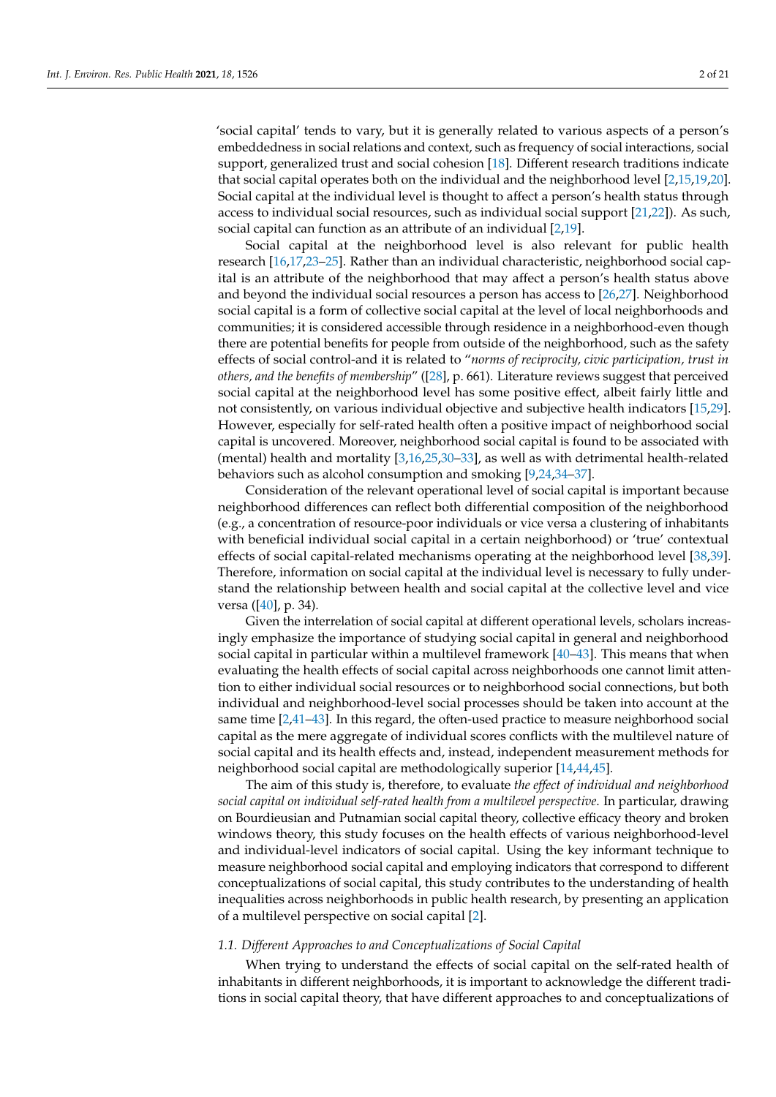'social capital' tends to vary, but it is generally related to various aspects of a person's embeddedness in social relations and context, such as frequency of social interactions, social support, generalized trust and social cohesion [\[18\]](#page-18-4). Different research traditions indicate that social capital operates both on the individual and the neighborhood level [\[2](#page-17-1)[,15](#page-18-3)[,19](#page-18-5)[,20\]](#page-18-6). Social capital at the individual level is thought to affect a person's health status through access to individual social resources, such as individual social support [\[21](#page-18-7)[,22\]](#page-18-8)). As such, social capital can function as an attribute of an individual [\[2](#page-17-1)[,19\]](#page-18-5).

Social capital at the neighborhood level is also relevant for public health research [\[16](#page-18-9)[,17](#page-18-2)[,23–](#page-18-10)[25\]](#page-18-11). Rather than an individual characteristic, neighborhood social capital is an attribute of the neighborhood that may affect a person's health status above and beyond the individual social resources a person has access to [\[26](#page-18-12)[,27\]](#page-18-13). Neighborhood social capital is a form of collective social capital at the level of local neighborhoods and communities; it is considered accessible through residence in a neighborhood-even though there are potential benefits for people from outside of the neighborhood, such as the safety effects of social control-and it is related to "*norms of reciprocity, civic participation, trust in others, and the benefits of membership*" ([\[28\]](#page-18-14), p. 661). Literature reviews suggest that perceived social capital at the neighborhood level has some positive effect, albeit fairly little and not consistently, on various individual objective and subjective health indicators [\[15,](#page-18-3)[29\]](#page-18-15). However, especially for self-rated health often a positive impact of neighborhood social capital is uncovered. Moreover, neighborhood social capital is found to be associated with (mental) health and mortality [\[3](#page-17-2)[,16](#page-18-9)[,25,](#page-18-11)[30](#page-18-16)[–33\]](#page-18-17), as well as with detrimental health-related behaviors such as alcohol consumption and smoking [\[9](#page-17-5)[,24](#page-18-18)[,34–](#page-18-19)[37\]](#page-18-20).

Consideration of the relevant operational level of social capital is important because neighborhood differences can reflect both differential composition of the neighborhood (e.g., a concentration of resource-poor individuals or vice versa a clustering of inhabitants with beneficial individual social capital in a certain neighborhood) or 'true' contextual effects of social capital-related mechanisms operating at the neighborhood level [\[38,](#page-18-21)[39\]](#page-18-22). Therefore, information on social capital at the individual level is necessary to fully understand the relationship between health and social capital at the collective level and vice versa ([\[40\]](#page-18-23), p. 34).

Given the interrelation of social capital at different operational levels, scholars increasingly emphasize the importance of studying social capital in general and neighborhood social capital in particular within a multilevel framework [\[40](#page-18-23)[–43\]](#page-19-0). This means that when evaluating the health effects of social capital across neighborhoods one cannot limit attention to either individual social resources or to neighborhood social connections, but both individual and neighborhood-level social processes should be taken into account at the same time [\[2](#page-17-1)[,41](#page-18-24)[–43\]](#page-19-0). In this regard, the often-used practice to measure neighborhood social capital as the mere aggregate of individual scores conflicts with the multilevel nature of social capital and its health effects and, instead, independent measurement methods for neighborhood social capital are methodologically superior [\[14](#page-18-1)[,44](#page-19-1)[,45\]](#page-19-2).

The aim of this study is, therefore, to evaluate *the effect of individual and neighborhood social capital on individual self-rated health from a multilevel perspective*. In particular, drawing on Bourdieusian and Putnamian social capital theory, collective efficacy theory and broken windows theory, this study focuses on the health effects of various neighborhood-level and individual-level indicators of social capital. Using the key informant technique to measure neighborhood social capital and employing indicators that correspond to different conceptualizations of social capital, this study contributes to the understanding of health inequalities across neighborhoods in public health research, by presenting an application of a multilevel perspective on social capital [\[2\]](#page-17-1).

#### *1.1. Different Approaches to and Conceptualizations of Social Capital*

When trying to understand the effects of social capital on the self-rated health of inhabitants in different neighborhoods, it is important to acknowledge the different traditions in social capital theory, that have different approaches to and conceptualizations of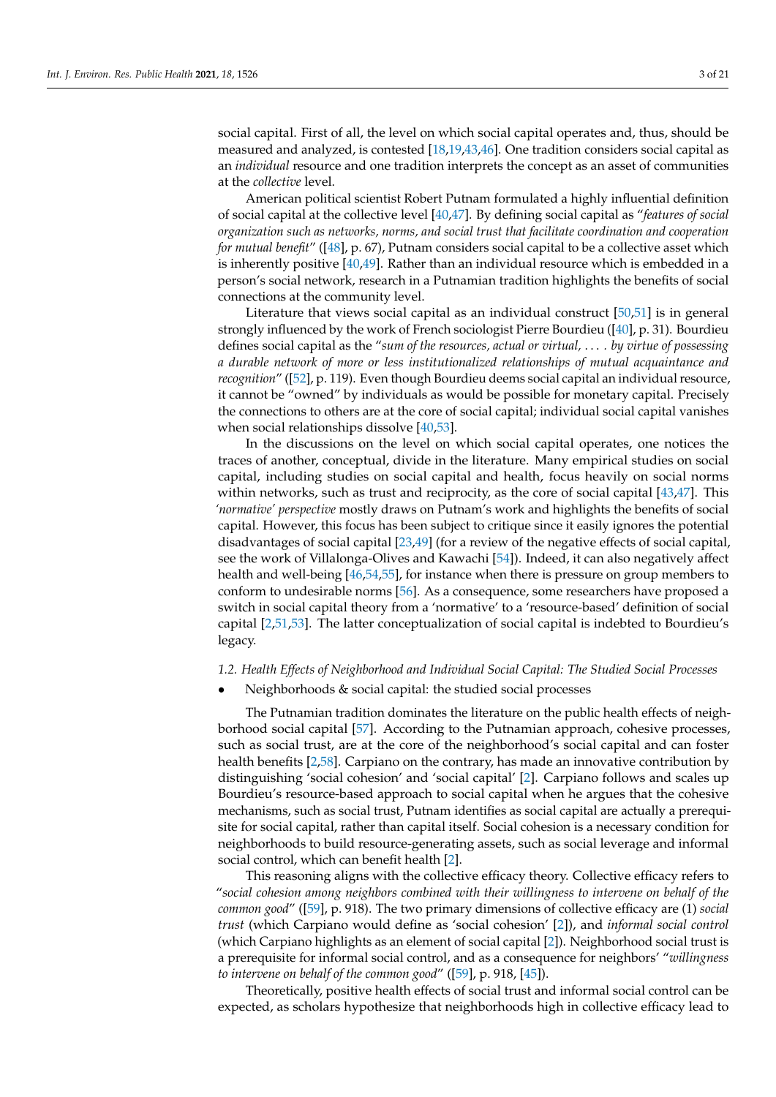social capital. First of all, the level on which social capital operates and, thus, should be measured and analyzed, is contested [\[18](#page-18-4)[,19,](#page-18-5)[43,](#page-19-0)[46\]](#page-19-3). One tradition considers social capital as an *individual* resource and one tradition interprets the concept as an asset of communities at the *collective* level.

American political scientist Robert Putnam formulated a highly influential definition of social capital at the collective level [\[40,](#page-18-23)[47\]](#page-19-4). By defining social capital as "*features of social organization such as networks, norms, and social trust that facilitate coordination and cooperation for mutual benefit*" ([\[48\]](#page-19-5), p. 67), Putnam considers social capital to be a collective asset which is inherently positive [\[40](#page-18-23)[,49\]](#page-19-6). Rather than an individual resource which is embedded in a person's social network, research in a Putnamian tradition highlights the benefits of social connections at the community level.

Literature that views social capital as an individual construct [\[50,](#page-19-7)[51\]](#page-19-8) is in general strongly influenced by the work of French sociologist Pierre Bourdieu ([\[40\]](#page-18-23), p. 31). Bourdieu defines social capital as the "*sum of the resources, actual or virtual,* . . . *. by virtue of possessing a durable network of more or less institutionalized relationships of mutual acquaintance and recognition*" ([\[52\]](#page-19-9), p. 119). Even though Bourdieu deems social capital an individual resource, it cannot be "owned" by individuals as would be possible for monetary capital. Precisely the connections to others are at the core of social capital; individual social capital vanishes when social relationships dissolve [\[40,](#page-18-23)[53\]](#page-19-10).

In the discussions on the level on which social capital operates, one notices the traces of another, conceptual, divide in the literature. Many empirical studies on social capital, including studies on social capital and health, focus heavily on social norms within networks, such as trust and reciprocity, as the core of social capital [\[43,](#page-19-0)[47\]](#page-19-4). This *'normative' perspective* mostly draws on Putnam's work and highlights the benefits of social capital. However, this focus has been subject to critique since it easily ignores the potential disadvantages of social capital [\[23,](#page-18-10)[49\]](#page-19-6) (for a review of the negative effects of social capital, see the work of Villalonga-Olives and Kawachi [\[54\]](#page-19-11)). Indeed, it can also negatively affect health and well-being [\[46,](#page-19-3)[54,](#page-19-11)[55\]](#page-19-12), for instance when there is pressure on group members to conform to undesirable norms [\[56\]](#page-19-13). As a consequence, some researchers have proposed a switch in social capital theory from a 'normative' to a 'resource-based' definition of social capital [\[2,](#page-17-1)[51,](#page-19-8)[53\]](#page-19-10). The latter conceptualization of social capital is indebted to Bourdieu's legacy.

#### *1.2. Health Effects of Neighborhood and Individual Social Capital: The Studied Social Processes*

• Neighborhoods & social capital: the studied social processes

The Putnamian tradition dominates the literature on the public health effects of neighborhood social capital [\[57\]](#page-19-14). According to the Putnamian approach, cohesive processes, such as social trust, are at the core of the neighborhood's social capital and can foster health benefits [\[2](#page-17-1)[,58\]](#page-19-15). Carpiano on the contrary, has made an innovative contribution by distinguishing 'social cohesion' and 'social capital' [\[2\]](#page-17-1). Carpiano follows and scales up Bourdieu's resource-based approach to social capital when he argues that the cohesive mechanisms, such as social trust, Putnam identifies as social capital are actually a prerequisite for social capital, rather than capital itself. Social cohesion is a necessary condition for neighborhoods to build resource-generating assets, such as social leverage and informal social control, which can benefit health [\[2\]](#page-17-1).

This reasoning aligns with the collective efficacy theory. Collective efficacy refers to "*social cohesion among neighbors combined with their willingness to intervene on behalf of the common good*" ([\[59\]](#page-19-16), p. 918). The two primary dimensions of collective efficacy are (1) *social trust* (which Carpiano would define as 'social cohesion' [\[2\]](#page-17-1)), and *informal social control* (which Carpiano highlights as an element of social capital [\[2\]](#page-17-1)). Neighborhood social trust is a prerequisite for informal social control, and as a consequence for neighbors' "*willingness to intervene on behalf of the common good*" ([\[59\]](#page-19-16), p. 918, [\[45\]](#page-19-2)).

Theoretically, positive health effects of social trust and informal social control can be expected, as scholars hypothesize that neighborhoods high in collective efficacy lead to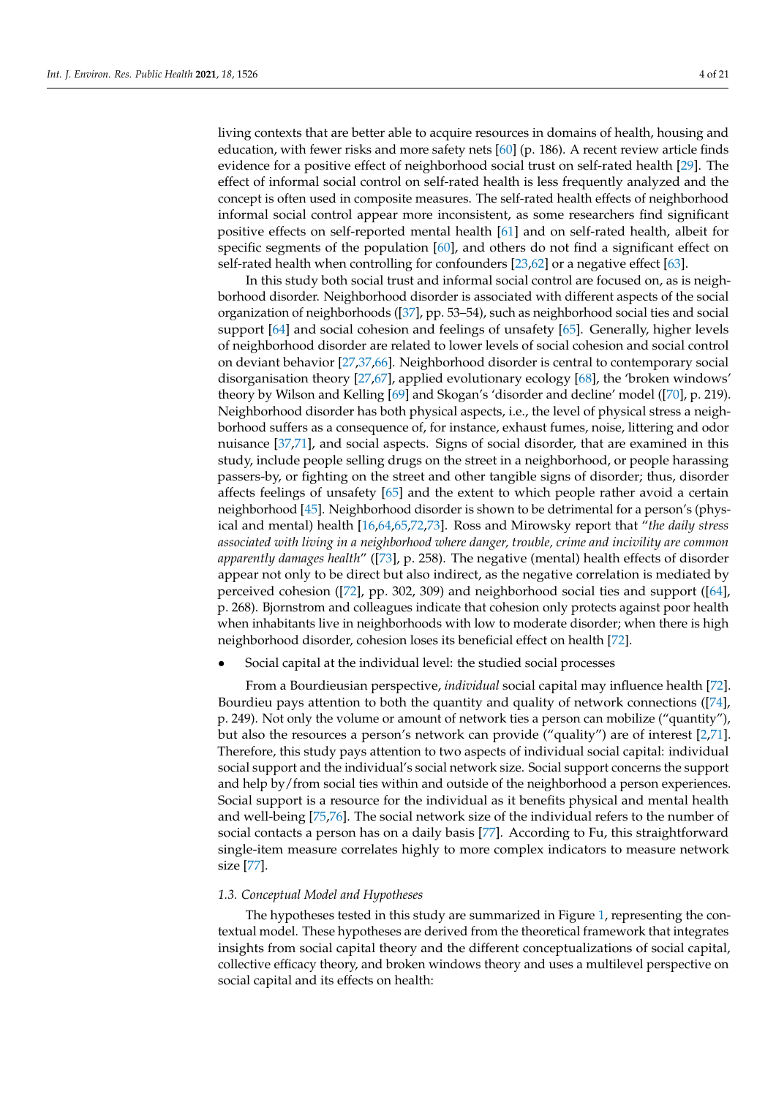living contexts that are better able to acquire resources in domains of health, housing and education, with fewer risks and more safety nets [\[60\]](#page-19-17) (p. 186). A recent review article finds evidence for a positive effect of neighborhood social trust on self-rated health [\[29\]](#page-18-15). The effect of informal social control on self-rated health is less frequently analyzed and the concept is often used in composite measures. The self-rated health effects of neighborhood informal social control appear more inconsistent, as some researchers find significant positive effects on self-reported mental health [\[61\]](#page-19-18) and on self-rated health, albeit for specific segments of the population [\[60\]](#page-19-17), and others do not find a significant effect on self-rated health when controlling for confounders [\[23](#page-18-10)[,62\]](#page-19-19) or a negative effect [\[63\]](#page-19-20).

In this study both social trust and informal social control are focused on, as is neighborhood disorder. Neighborhood disorder is associated with different aspects of the social organization of neighborhoods ([\[37\]](#page-18-20), pp. 53–54), such as neighborhood social ties and social support [\[64\]](#page-19-21) and social cohesion and feelings of unsafety [\[65\]](#page-19-22). Generally, higher levels of neighborhood disorder are related to lower levels of social cohesion and social control on deviant behavior [\[27,](#page-18-13)[37,](#page-18-20)[66\]](#page-19-23). Neighborhood disorder is central to contemporary social disorganisation theory [\[27](#page-18-13)[,67\]](#page-19-24), applied evolutionary ecology [\[68\]](#page-19-25), the 'broken windows' theory by Wilson and Kelling [\[69\]](#page-19-26) and Skogan's 'disorder and decline' model ([\[70\]](#page-19-27), p. 219). Neighborhood disorder has both physical aspects, i.e., the level of physical stress a neighborhood suffers as a consequence of, for instance, exhaust fumes, noise, littering and odor nuisance [\[37](#page-18-20)[,71\]](#page-19-28), and social aspects. Signs of social disorder, that are examined in this study, include people selling drugs on the street in a neighborhood, or people harassing passers-by, or fighting on the street and other tangible signs of disorder; thus, disorder affects feelings of unsafety [\[65\]](#page-19-22) and the extent to which people rather avoid a certain neighborhood [\[45\]](#page-19-2). Neighborhood disorder is shown to be detrimental for a person's (physical and mental) health [\[16](#page-18-9)[,64](#page-19-21)[,65](#page-19-22)[,72](#page-19-29)[,73\]](#page-19-30). Ross and Mirowsky report that "*the daily stress associated with living in a neighborhood where danger, trouble, crime and incivility are common apparently damages health*" ([\[73\]](#page-19-30), p. 258). The negative (mental) health effects of disorder appear not only to be direct but also indirect, as the negative correlation is mediated by perceived cohesion ([\[72\]](#page-19-29), pp. 302, 309) and neighborhood social ties and support ([\[64\]](#page-19-21), p. 268). Bjornstrom and colleagues indicate that cohesion only protects against poor health when inhabitants live in neighborhoods with low to moderate disorder; when there is high neighborhood disorder, cohesion loses its beneficial effect on health [\[72\]](#page-19-29).

Social capital at the individual level: the studied social processes

From a Bourdieusian perspective, *individual* social capital may influence health [\[72\]](#page-19-29). Bourdieu pays attention to both the quantity and quality of network connections ([\[74\]](#page-19-31), p. 249). Not only the volume or amount of network ties a person can mobilize ("quantity"), but also the resources a person's network can provide ("quality") are of interest [\[2,](#page-17-1)[71\]](#page-19-28). Therefore, this study pays attention to two aspects of individual social capital: individual social support and the individual's social network size. Social support concerns the support and help by/from social ties within and outside of the neighborhood a person experiences. Social support is a resource for the individual as it benefits physical and mental health and well-being [\[75](#page-19-32)[,76\]](#page-20-0). The social network size of the individual refers to the number of social contacts a person has on a daily basis [\[77\]](#page-20-1). According to Fu, this straightforward single-item measure correlates highly to more complex indicators to measure network size [\[77\]](#page-20-1).

#### *1.3. Conceptual Model and Hypotheses*

The hypotheses tested in this study are summarized in Figure [1,](#page-4-0) representing the contextual model. These hypotheses are derived from the theoretical framework that integrates insights from social capital theory and the different conceptualizations of social capital, collective efficacy theory, and broken windows theory and uses a multilevel perspective on social capital and its effects on health: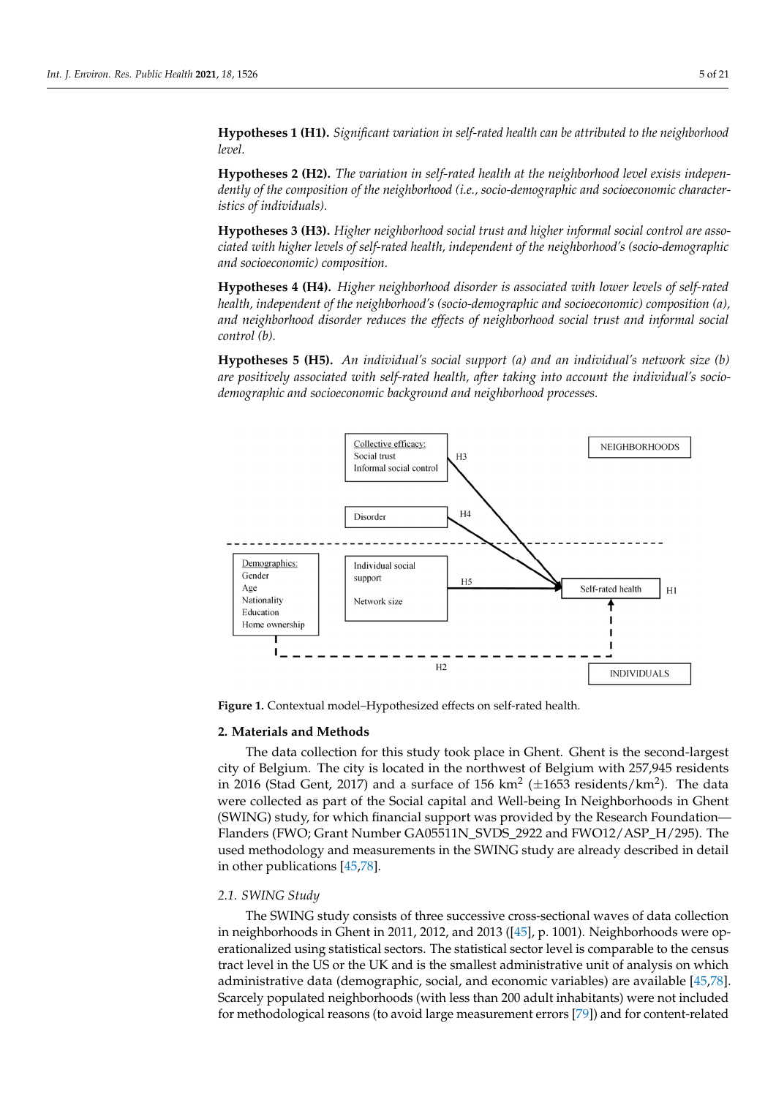**Hypotheses 1 (H1).** *Significant variation in self-rated health can be attributed to the neighborhood hood level. level.* **Hypotheses 2 (H2).** *The variation in self-rated health at the neighborhood level exists inde-*

**Hypotheses 2 (H2).** The variation in self-rated health at the neighborhood level exists indepen*dently of the composition of the neighborhood (i.e., socio-demographic and socioeconomic character-acteristics of individuals). istics of individuals).* **Hypotheses 3 (H3).** *Higher neighborhood social trust and higher informal social control are as-*

**Hypotheses 3 (H3).** *Higher neighborhood social trust and higher informal social control are associated with higher levels of self-rated health, independent of the neighborhood's (socio-demographic graphic and socioeconomic) composition. and socioeconomic) composition.* **ypotneses 5 (H5).** Higher neighborhood social trust and higher informal social control are asso-

**Hypotheses 4 (H4).** *Higher neighborhood disorder is associated with lower levels of self-rated* **Hypotheses 4 (H4).** *Higher neighborhood disorder is associated with lower levels of self-rated health, independent of the neighborhood's (socio-demographic and socioeconomic) composition (a), health, independent of the neighborhood's (socio-demographic and socioeconomic) composition (a), and neighborhood disorder reduces the effects of neighborhood social trust and informal social and neighborhood disorder reduces the effects of neighborhood social trust and informal social con* $control(b)$ .

**Hypotheses 5 (H5).** An individual's social support (a) and an individual's network size (b) *are positively associated with self-rated health, after taking into account the individual's socio-positively associated with self-rated health, after taking into account the individual's socio-demodemographic and socioeconomic background and neighborhood processes. graphic and socioeconomic background and neighborhood processes.* 

<span id="page-4-0"></span>

**Figure 1.** Contextual model–Hypothesized effects on self-rated health.

**Figure 1.** Contextual model–Hypothesized effects on self-rated health.

#### **2. Materials and Methods**

The data collection for this study took place in Ghent. Ghent is the second-largest in 2016 (Stad Gent, 2017) and a surface of  $156 \text{ km}^2 \ (\pm 1653 \text{ residents/km}^2)$ . The data were collected as part of the Social capital and Well-being In Neighborhoods in Ghent (SWING) study, for which financial support was provided by the Research Foundation— Flanders (FWO; Grant Number GA05511N\_SVDS\_2922 and FWO12/ASP\_H/295). The used methodology and measurements in the SWING study are already described in detail in other publications  $[45,78]$  $[45,78]$ . city of Belgium. The city is located in the northwest of Belgium with 257,945 residents

#### $1$  SWING Study *2.1. SWING Study*

The SWING study consists of three successive cross-sectional waves of data collection erationalized using statistical sectors. The statistical sector level is comparable to the census tract level in the US or the UK and is the smallest administrative unit of analysis on which administrative data (demographic, social, and economic variables) are available [\[45,](#page-19-2)[78\]](#page-20-2). Scarcely populated neighborhoods (with less than 200 adult inhabitants) were not included<br>Scarcely populated neighborhoods (with less measurement agent 1791) and for contrat related for methodological reasons (to avoid large measurement errors [\[79\]](#page-20-3)) and for content-related in neighborhoods in Ghent in 2011, 2012, and 2013 ([\[45\]](#page-19-2), p. 1001). Neighborhoods were op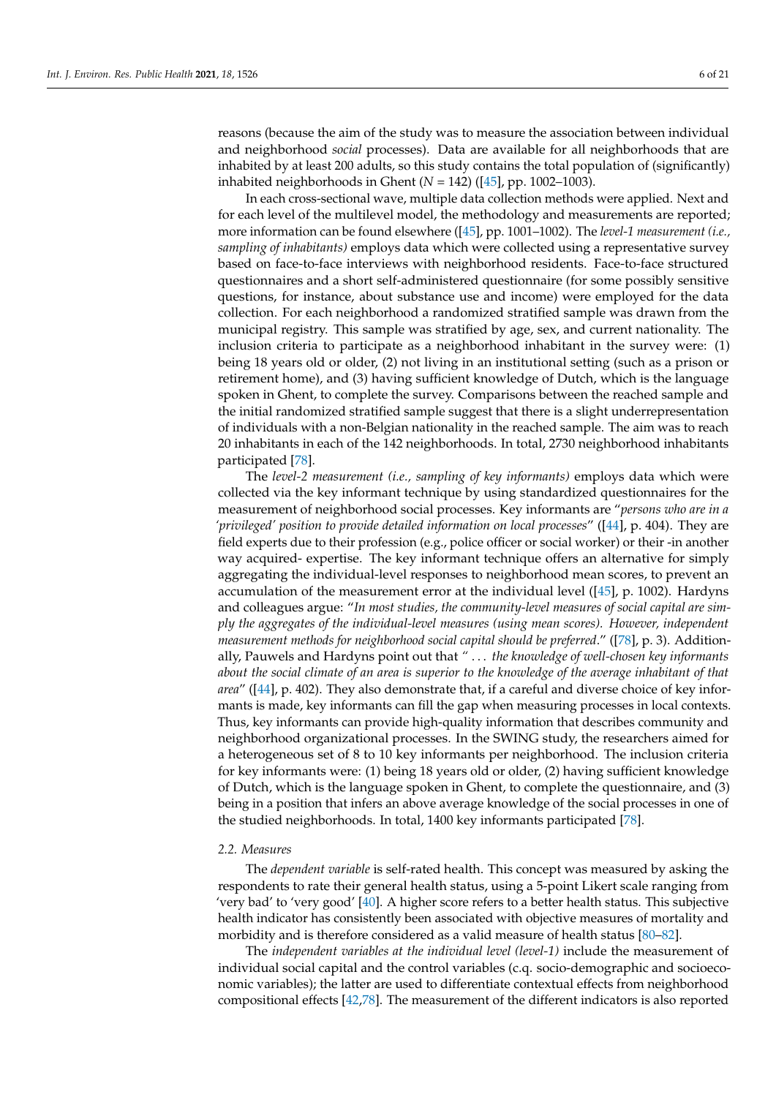reasons (because the aim of the study was to measure the association between individual and neighborhood *social* processes). Data are available for all neighborhoods that are inhabited by at least 200 adults, so this study contains the total population of (significantly) inhabited neighborhoods in Ghent (*N* = 142) ([\[45\]](#page-19-2), pp. 1002–1003).

In each cross-sectional wave, multiple data collection methods were applied. Next and for each level of the multilevel model, the methodology and measurements are reported; more information can be found elsewhere ([\[45\]](#page-19-2), pp. 1001–1002). The *level-1 measurement (i.e., sampling of inhabitants)* employs data which were collected using a representative survey based on face-to-face interviews with neighborhood residents. Face-to-face structured questionnaires and a short self-administered questionnaire (for some possibly sensitive questions, for instance, about substance use and income) were employed for the data collection. For each neighborhood a randomized stratified sample was drawn from the municipal registry. This sample was stratified by age, sex, and current nationality. The inclusion criteria to participate as a neighborhood inhabitant in the survey were: (1) being 18 years old or older, (2) not living in an institutional setting (such as a prison or retirement home), and (3) having sufficient knowledge of Dutch, which is the language spoken in Ghent, to complete the survey. Comparisons between the reached sample and the initial randomized stratified sample suggest that there is a slight underrepresentation of individuals with a non-Belgian nationality in the reached sample. The aim was to reach 20 inhabitants in each of the 142 neighborhoods. In total, 2730 neighborhood inhabitants participated [\[78\]](#page-20-2).

The *level-2 measurement (i.e., sampling of key informants)* employs data which were collected via the key informant technique by using standardized questionnaires for the measurement of neighborhood social processes. Key informants are "*persons who are in a 'privileged' position to provide detailed information on local processes*" ([\[44\]](#page-19-1), p. 404). They are field experts due to their profession (e.g., police officer or social worker) or their -in another way acquired- expertise. The key informant technique offers an alternative for simply aggregating the individual-level responses to neighborhood mean scores, to prevent an accumulation of the measurement error at the individual level ([\[45\]](#page-19-2), p. 1002). Hardyns and colleagues argue: "*In most studies, the community-level measures of social capital are simply the aggregates of the individual-level measures (using mean scores). However, independent measurement methods for neighborhood social capital should be preferred*." ([\[78\]](#page-20-2), p. 3). Additionally, Pauwels and Hardyns point out that *"* . . . *the knowledge of well-chosen key informants about the social climate of an area is superior to the knowledge of the average inhabitant of that area*" ([\[44\]](#page-19-1), p. 402). They also demonstrate that, if a careful and diverse choice of key informants is made, key informants can fill the gap when measuring processes in local contexts. Thus, key informants can provide high-quality information that describes community and neighborhood organizational processes. In the SWING study, the researchers aimed for a heterogeneous set of 8 to 10 key informants per neighborhood. The inclusion criteria for key informants were: (1) being 18 years old or older, (2) having sufficient knowledge of Dutch, which is the language spoken in Ghent, to complete the questionnaire, and (3) being in a position that infers an above average knowledge of the social processes in one of the studied neighborhoods. In total, 1400 key informants participated [\[78\]](#page-20-2).

#### *2.2. Measures*

The *dependent variable* is self-rated health. This concept was measured by asking the respondents to rate their general health status, using a 5-point Likert scale ranging from 'very bad' to 'very good' [\[40\]](#page-18-23). A higher score refers to a better health status. This subjective health indicator has consistently been associated with objective measures of mortality and morbidity and is therefore considered as a valid measure of health status [\[80–](#page-20-4)[82\]](#page-20-5).

The *independent variables at the individual level (level-1)* include the measurement of individual social capital and the control variables (c.q. socio-demographic and socioeconomic variables); the latter are used to differentiate contextual effects from neighborhood compositional effects [\[42,](#page-19-33)[78\]](#page-20-2). The measurement of the different indicators is also reported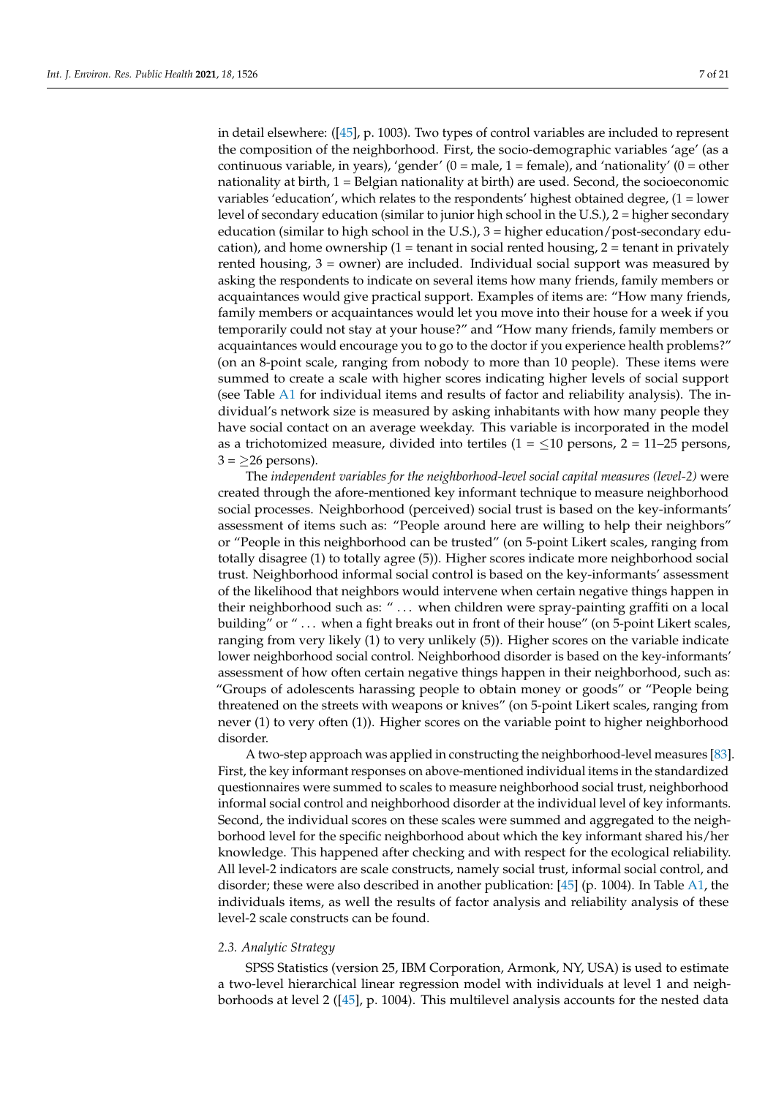in detail elsewhere: ([\[45\]](#page-19-2), p. 1003). Two types of control variables are included to represent the composition of the neighborhood. First, the socio-demographic variables 'age' (as a continuous variable, in years), 'gender'  $(0 = male, 1 = female)$ , and 'nationality'  $(0 = other$ nationality at birth,  $1 =$  Belgian nationality at birth) are used. Second, the socioeconomic variables 'education', which relates to the respondents' highest obtained degree, (1 = lower level of secondary education (similar to junior high school in the U.S.), 2 = higher secondary education (similar to high school in the U.S.), 3 = higher education/post-secondary education), and home ownership  $(1 =$  tenant in social rented housing,  $2 =$  tenant in privately rented housing,  $3 =$  owner) are included. Individual social support was measured by asking the respondents to indicate on several items how many friends, family members or acquaintances would give practical support. Examples of items are: "How many friends, family members or acquaintances would let you move into their house for a week if you temporarily could not stay at your house?" and "How many friends, family members or acquaintances would encourage you to go to the doctor if you experience health problems?" (on an 8-point scale, ranging from nobody to more than 10 people). These items were summed to create a scale with higher scores indicating higher levels of social support (see Table [A1](#page-16-0) for individual items and results of factor and reliability analysis). The individual's network size is measured by asking inhabitants with how many people they have social contact on an average weekday. This variable is incorporated in the model as a trichotomized measure, divided into tertiles  $(1 = \le 10$  persons,  $2 = 11{\text -}25$  persons,  $3 = \geq 26$  persons).

The *independent variables for the neighborhood-level social capital measures (level-2)* were created through the afore-mentioned key informant technique to measure neighborhood social processes. Neighborhood (perceived) social trust is based on the key-informants' assessment of items such as: "People around here are willing to help their neighbors" or "People in this neighborhood can be trusted" (on 5-point Likert scales, ranging from totally disagree (1) to totally agree (5)). Higher scores indicate more neighborhood social trust. Neighborhood informal social control is based on the key-informants' assessment of the likelihood that neighbors would intervene when certain negative things happen in their neighborhood such as: " ... when children were spray-painting graffiti on a local building" or "... when a fight breaks out in front of their house" (on 5-point Likert scales, ranging from very likely (1) to very unlikely (5)). Higher scores on the variable indicate lower neighborhood social control. Neighborhood disorder is based on the key-informants' assessment of how often certain negative things happen in their neighborhood, such as: "Groups of adolescents harassing people to obtain money or goods" or "People being threatened on the streets with weapons or knives" (on 5-point Likert scales, ranging from never (1) to very often (1)). Higher scores on the variable point to higher neighborhood disorder.

A two-step approach was applied in constructing the neighborhood-level measures [\[83\]](#page-20-6). First, the key informant responses on above-mentioned individual items in the standardized questionnaires were summed to scales to measure neighborhood social trust, neighborhood informal social control and neighborhood disorder at the individual level of key informants. Second, the individual scores on these scales were summed and aggregated to the neighborhood level for the specific neighborhood about which the key informant shared his/her knowledge. This happened after checking and with respect for the ecological reliability. All level-2 indicators are scale constructs, namely social trust, informal social control, and disorder; these were also described in another publication:  $[45]$  (p. 1004). In Table [A1,](#page-16-0) the individuals items, as well the results of factor analysis and reliability analysis of these level-2 scale constructs can be found.

#### *2.3. Analytic Strategy*

SPSS Statistics (version 25, IBM Corporation, Armonk, NY, USA) is used to estimate a two-level hierarchical linear regression model with individuals at level 1 and neighborhoods at level 2 ([\[45\]](#page-19-2), p. 1004). This multilevel analysis accounts for the nested data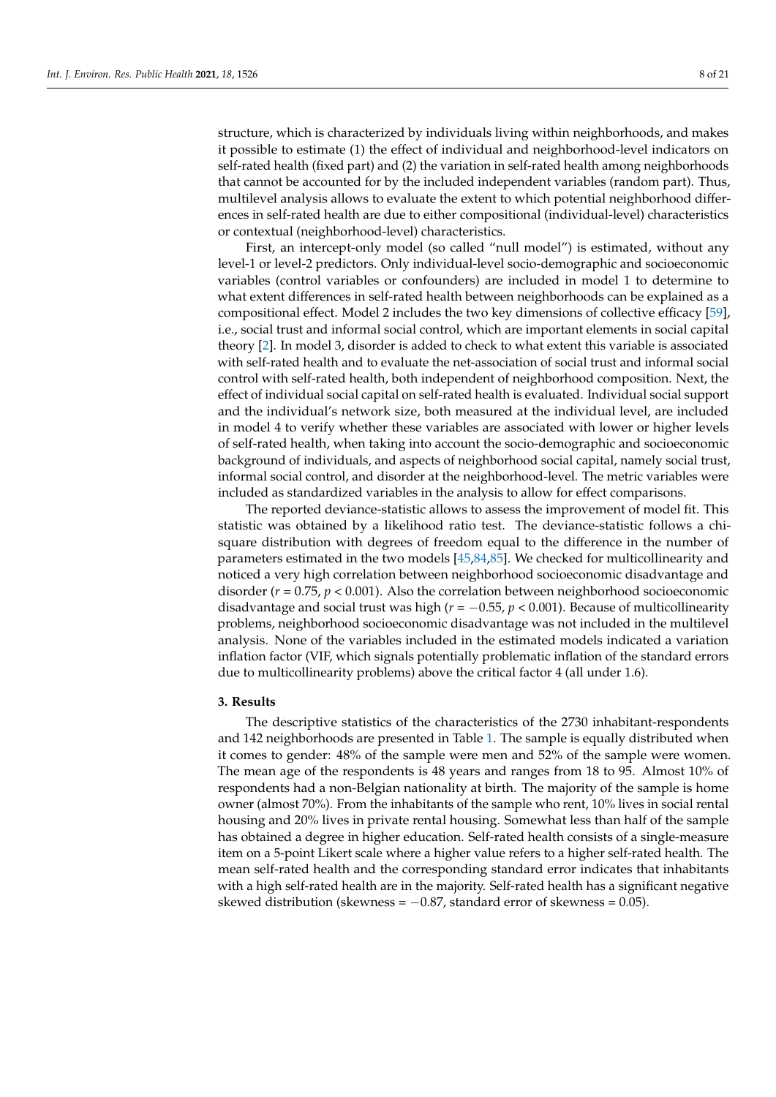structure, which is characterized by individuals living within neighborhoods, and makes it possible to estimate (1) the effect of individual and neighborhood-level indicators on self-rated health (fixed part) and (2) the variation in self-rated health among neighborhoods that cannot be accounted for by the included independent variables (random part). Thus, multilevel analysis allows to evaluate the extent to which potential neighborhood differences in self-rated health are due to either compositional (individual-level) characteristics or contextual (neighborhood-level) characteristics.

First, an intercept-only model (so called "null model") is estimated, without any level-1 or level-2 predictors. Only individual-level socio-demographic and socioeconomic variables (control variables or confounders) are included in model 1 to determine to what extent differences in self-rated health between neighborhoods can be explained as a compositional effect. Model 2 includes the two key dimensions of collective efficacy [\[59\]](#page-19-16), i.e., social trust and informal social control, which are important elements in social capital theory [\[2\]](#page-17-1). In model 3, disorder is added to check to what extent this variable is associated with self-rated health and to evaluate the net-association of social trust and informal social control with self-rated health, both independent of neighborhood composition. Next, the effect of individual social capital on self-rated health is evaluated. Individual social support and the individual's network size, both measured at the individual level, are included in model 4 to verify whether these variables are associated with lower or higher levels of self-rated health, when taking into account the socio-demographic and socioeconomic background of individuals, and aspects of neighborhood social capital, namely social trust, informal social control, and disorder at the neighborhood-level. The metric variables were included as standardized variables in the analysis to allow for effect comparisons.

The reported deviance-statistic allows to assess the improvement of model fit. This statistic was obtained by a likelihood ratio test. The deviance-statistic follows a chisquare distribution with degrees of freedom equal to the difference in the number of parameters estimated in the two models [\[45,](#page-19-2)[84,](#page-20-7)[85\]](#page-20-8). We checked for multicollinearity and noticed a very high correlation between neighborhood socioeconomic disadvantage and disorder (*r* = 0.75, *p* < 0.001). Also the correlation between neighborhood socioeconomic disadvantage and social trust was high ( $r = -0.55$ ,  $p < 0.001$ ). Because of multicollinearity problems, neighborhood socioeconomic disadvantage was not included in the multilevel analysis. None of the variables included in the estimated models indicated a variation inflation factor (VIF, which signals potentially problematic inflation of the standard errors due to multicollinearity problems) above the critical factor 4 (all under 1.6).

#### **3. Results**

The descriptive statistics of the characteristics of the 2730 inhabitant-respondents and 142 neighborhoods are presented in Table [1.](#page-8-0) The sample is equally distributed when it comes to gender: 48% of the sample were men and 52% of the sample were women. The mean age of the respondents is 48 years and ranges from 18 to 95. Almost 10% of respondents had a non-Belgian nationality at birth. The majority of the sample is home owner (almost 70%). From the inhabitants of the sample who rent, 10% lives in social rental housing and 20% lives in private rental housing. Somewhat less than half of the sample has obtained a degree in higher education. Self-rated health consists of a single-measure item on a 5-point Likert scale where a higher value refers to a higher self-rated health. The mean self-rated health and the corresponding standard error indicates that inhabitants with a high self-rated health are in the majority. Self-rated health has a significant negative skewed distribution (skewness =  $-0.87$ , standard error of skewness = 0.05).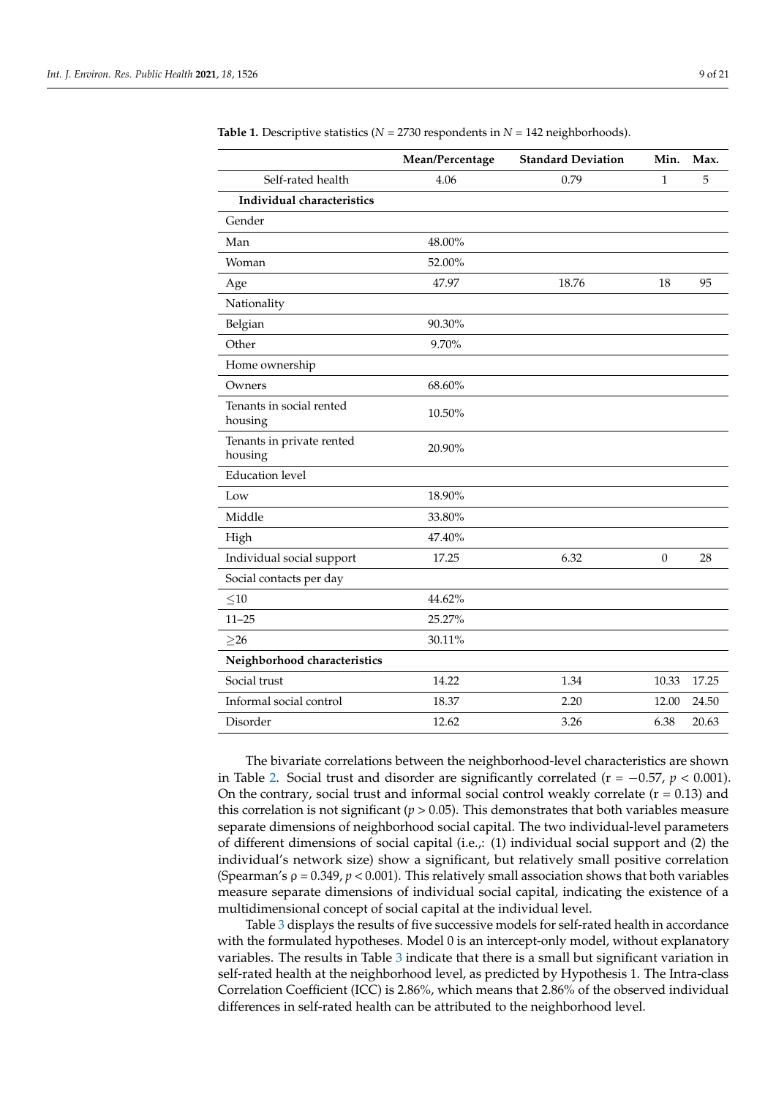|                                      | Mean/Percentage | <b>Standard Deviation</b> | Min.             | Max.  |
|--------------------------------------|-----------------|---------------------------|------------------|-------|
| Self-rated health                    | 4.06            | 0.79                      | $\mathbf{1}$     | 5     |
| Individual characteristics           |                 |                           |                  |       |
| Gender                               |                 |                           |                  |       |
| Man                                  | 48.00%          |                           |                  |       |
| Woman                                | 52.00%          |                           |                  |       |
| Age                                  | 47.97           | 18.76                     | 18               | 95    |
| Nationality                          |                 |                           |                  |       |
| Belgian                              | 90.30%          |                           |                  |       |
| Other                                | 9.70%           |                           |                  |       |
| Home ownership                       |                 |                           |                  |       |
| Owners                               | 68.60%          |                           |                  |       |
| Tenants in social rented<br>housing  | 10.50%          |                           |                  |       |
| Tenants in private rented<br>housing | 20.90%          |                           |                  |       |
| <b>Education</b> level               |                 |                           |                  |       |
| Low                                  | 18.90%          |                           |                  |       |
| Middle                               | 33.80%          |                           |                  |       |
| High                                 | 47.40%          |                           |                  |       |
| Individual social support            | 17.25           | 6.32                      | $\boldsymbol{0}$ | 28    |
| Social contacts per day              |                 |                           |                  |       |
| $\leq$ 10                            | 44.62%          |                           |                  |       |
| $11 - 25$                            | 25.27%          |                           |                  |       |
| $\geq$ 26                            | 30.11%          |                           |                  |       |
| Neighborhood characteristics         |                 |                           |                  |       |
| Social trust                         | 14.22           | 1.34                      | 10.33            | 17.25 |
| Informal social control              | 18.37           | 2.20                      | 12.00            | 24.50 |
| Disorder                             | 12.62           | 3.26                      | 6.38             | 20.63 |

<span id="page-8-0"></span>**Table 1.** Descriptive statistics ( $N = 2730$  respondents in  $N = 142$  neighborhoods).

The bivariate correlations between the neighborhood-level characteristics are shown in Table [2.](#page-9-0) Social trust and disorder are significantly correlated ( $r = -0.57$ ,  $p < 0.001$ ). On the contrary, social trust and informal social control weakly correlate  $(r = 0.13)$  and this correlation is not significant ( $p > 0.05$ ). This demonstrates that both variables measure separate dimensions of neighborhood social capital. The two individual-level parameters of different dimensions of social capital (i.e.,: (1) individual social support and (2) the individual's network size) show a significant, but relatively small positive correlation (Spearman's ρ = 0.349, *p* < 0.001). This relatively small association shows that both variables measure separate dimensions of individual social capital, indicating the existence of a multidimensional concept of social capital at the individual level.

Table [3](#page-9-1) displays the results of five successive models for self-rated health in accordance with the formulated hypotheses. Model 0 is an intercept-only model, without explanatory variables. The results in Table [3](#page-9-1) indicate that there is a small but significant variation in self-rated health at the neighborhood level, as predicted by Hypothesis 1. The Intra-class Correlation Coefficient (ICC) is 2.86%, which means that 2.86% of the observed individual differences in self-rated health can be attributed to the neighborhood level.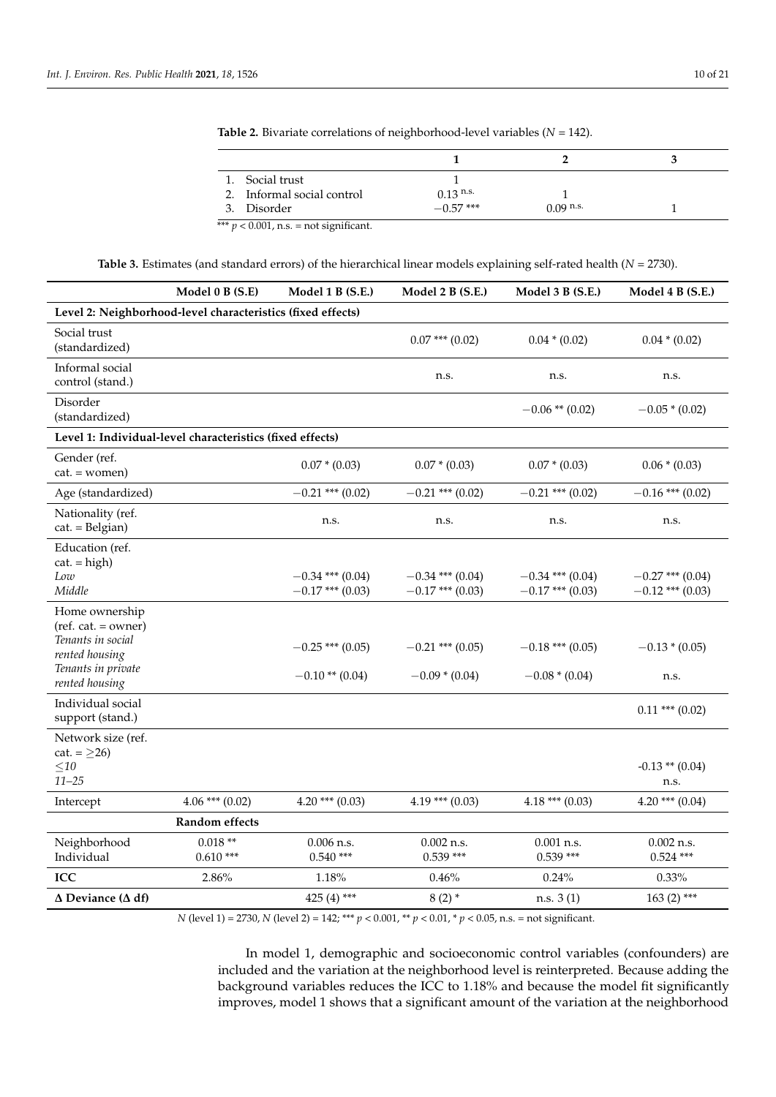| 1. Social trust            |             |             |  |
|----------------------------|-------------|-------------|--|
| 2. Informal social control | $0.13$ n.s. |             |  |
| 3. Disorder                | $-0.57$ *** | $0.09$ n.s. |  |

<span id="page-9-0"></span>**Table 2.** Bivariate correlations of neighborhood-level variables (*N* = 142).

|  | <b>Table 3.</b> Estimates (and standard errors) of the hierarchical linear models explaining self-rated health ( $N = 2730$ ). |  |  |  |  |  |  |  |  |  |  |  |  |  |  |  |  |  |
|--|--------------------------------------------------------------------------------------------------------------------------------|--|--|--|--|--|--|--|--|--|--|--|--|--|--|--|--|--|
|--|--------------------------------------------------------------------------------------------------------------------------------|--|--|--|--|--|--|--|--|--|--|--|--|--|--|--|--|--|

<span id="page-9-1"></span>

|                                                                                                                       | Model 0 B (S.E)         | Model 1 B (S.E.)                         | Model 2 B (S.E.)                         | Model 3 B (S.E.)                         | Model 4 B (S.E.)                         |  |  |  |
|-----------------------------------------------------------------------------------------------------------------------|-------------------------|------------------------------------------|------------------------------------------|------------------------------------------|------------------------------------------|--|--|--|
| Level 2: Neighborhood-level characteristics (fixed effects)                                                           |                         |                                          |                                          |                                          |                                          |  |  |  |
| Social trust<br>(standardized)                                                                                        |                         |                                          | $0.07$ *** $(0.02)$                      | $0.04 * (0.02)$                          | $0.04 * (0.02)$                          |  |  |  |
| Informal social<br>control (stand.)                                                                                   |                         |                                          | n.s.                                     | n.s.                                     | n.s.                                     |  |  |  |
| Disorder<br>(standardized)                                                                                            |                         |                                          |                                          | $-0.06$ ** (0.02)                        | $-0.05*(0.02)$                           |  |  |  |
| Level 1: Individual-level characteristics (fixed effects)                                                             |                         |                                          |                                          |                                          |                                          |  |  |  |
| Gender (ref.<br>$cat. = women)$                                                                                       |                         | $0.07 * (0.03)$                          | $0.07 * (0.03)$                          | $0.07 * (0.03)$                          | $0.06 * (0.03)$                          |  |  |  |
| Age (standardized)                                                                                                    |                         | $-0.21$ *** (0.02)                       | $-0.21$ *** (0.02)                       | $-0.21$ *** (0.02)                       | $-0.16$ *** (0.02)                       |  |  |  |
| Nationality (ref.<br>$cat. = Belgium)$                                                                                |                         | n.s.                                     | n.s.                                     | n.s.                                     | n.s.                                     |  |  |  |
| Education (ref.<br>$cat = high$ )<br>Low<br>Middle                                                                    |                         | $-0.34$ *** (0.04)<br>$-0.17$ *** (0.03) | $-0.34$ *** (0.04)<br>$-0.17$ *** (0.03) | $-0.34$ *** (0.04)<br>$-0.17$ *** (0.03) | $-0.27$ *** (0.04)<br>$-0.12$ *** (0.03) |  |  |  |
| Home ownership<br>$ref. cat. = owner)$<br>Tenants in social<br>rented housing<br>Tenants in private<br>rented housing |                         | $-0.25$ *** (0.05)<br>$-0.10**$ (0.04)   | $-0.21$ *** (0.05)<br>$-0.09*(0.04)$     | $-0.18$ *** (0.05)<br>$-0.08*(0.04)$     | $-0.13*(0.05)$<br>n.s.                   |  |  |  |
| Individual social<br>support (stand.)                                                                                 |                         |                                          |                                          |                                          | $0.11$ *** $(0.02)$                      |  |  |  |
| Network size (ref.<br>cat. = $\geq$ 26)<br>${\leq}10$<br>$11 - 25$                                                    |                         |                                          |                                          |                                          | $-0.13$ ** $(0.04)$<br>n.s.              |  |  |  |
| Intercept                                                                                                             | $4.06$ *** $(0.02)$     | $4.20$ *** $(0.03)$                      | $4.19***$ (0.03)                         | $4.18***(0.03)$                          | $4.20$ *** $(0.04)$                      |  |  |  |
|                                                                                                                       | <b>Random</b> effects   |                                          |                                          |                                          |                                          |  |  |  |
| Neighborhood<br>Individual                                                                                            | $0.018**$<br>$0.610***$ | $0.006$ n.s.<br>$0.540***$               | $0.002$ n.s.<br>$0.539***$               | $0.001$ n.s.<br>$0.539***$               | $0.002$ n.s.<br>$0.524$ ***              |  |  |  |
| <b>ICC</b>                                                                                                            | 2.86%                   | 1.18%                                    | 0.46%                                    | 0.24%                                    | $0.33\%$                                 |  |  |  |
| $\Delta$ Deviance ( $\Delta$ df)                                                                                      |                         | 425 (4) ***                              | $8(2) *$                                 | n.s. 3(1)                                | $163(2)$ ***                             |  |  |  |

*N* (level 1) = 2730, *N* (level 2) = 142; \*\*\* *p* < 0.001, \*\* *p* < 0.01, \* *p* < 0.05, n.s. = not significant.

In model 1, demographic and socioeconomic control variables (confounders) are included and the variation at the neighborhood level is reinterpreted. Because adding the background variables reduces the ICC to 1.18% and because the model fit significantly improves, model 1 shows that a significant amount of the variation at the neighborhood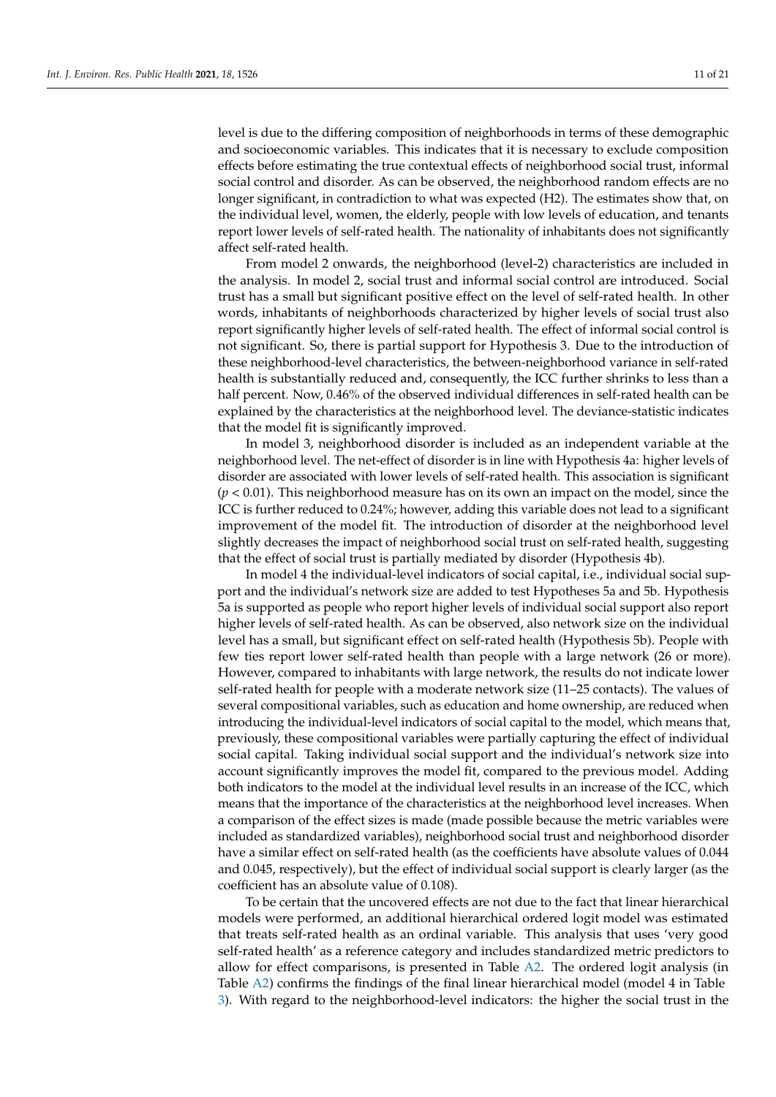level is due to the differing composition of neighborhoods in terms of these demographic and socioeconomic variables. This indicates that it is necessary to exclude composition effects before estimating the true contextual effects of neighborhood social trust, informal social control and disorder. As can be observed, the neighborhood random effects are no longer significant, in contradiction to what was expected (H2). The estimates show that, on the individual level, women, the elderly, people with low levels of education, and tenants report lower levels of self-rated health. The nationality of inhabitants does not significantly affect self-rated health.

From model 2 onwards, the neighborhood (level-2) characteristics are included in the analysis. In model 2, social trust and informal social control are introduced. Social trust has a small but significant positive effect on the level of self-rated health. In other words, inhabitants of neighborhoods characterized by higher levels of social trust also report significantly higher levels of self-rated health. The effect of informal social control is not significant. So, there is partial support for Hypothesis 3. Due to the introduction of these neighborhood-level characteristics, the between-neighborhood variance in self-rated health is substantially reduced and, consequently, the ICC further shrinks to less than a half percent. Now, 0.46% of the observed individual differences in self-rated health can be explained by the characteristics at the neighborhood level. The deviance-statistic indicates that the model fit is significantly improved.

In model 3, neighborhood disorder is included as an independent variable at the neighborhood level. The net-effect of disorder is in line with Hypothesis 4a: higher levels of disorder are associated with lower levels of self-rated health. This association is significant (*p* < 0.01). This neighborhood measure has on its own an impact on the model, since the ICC is further reduced to 0.24%; however, adding this variable does not lead to a significant improvement of the model fit. The introduction of disorder at the neighborhood level slightly decreases the impact of neighborhood social trust on self-rated health, suggesting that the effect of social trust is partially mediated by disorder (Hypothesis 4b).

In model 4 the individual-level indicators of social capital, i.e., individual social support and the individual's network size are added to test Hypotheses 5a and 5b. Hypothesis 5a is supported as people who report higher levels of individual social support also report higher levels of self-rated health. As can be observed, also network size on the individual level has a small, but significant effect on self-rated health (Hypothesis 5b). People with few ties report lower self-rated health than people with a large network (26 or more). However, compared to inhabitants with large network, the results do not indicate lower self-rated health for people with a moderate network size (11–25 contacts). The values of several compositional variables, such as education and home ownership, are reduced when introducing the individual-level indicators of social capital to the model, which means that, previously, these compositional variables were partially capturing the effect of individual social capital. Taking individual social support and the individual's network size into account significantly improves the model fit, compared to the previous model. Adding both indicators to the model at the individual level results in an increase of the ICC, which means that the importance of the characteristics at the neighborhood level increases. When a comparison of the effect sizes is made (made possible because the metric variables were included as standardized variables), neighborhood social trust and neighborhood disorder have a similar effect on self-rated health (as the coefficients have absolute values of 0.044 and 0.045, respectively), but the effect of individual social support is clearly larger (as the coefficient has an absolute value of 0.108).

To be certain that the uncovered effects are not due to the fact that linear hierarchical models were performed, an additional hierarchical ordered logit model was estimated that treats self-rated health as an ordinal variable. This analysis that uses 'very good self-rated health' as a reference category and includes standardized metric predictors to allow for effect comparisons, is presented in Table [A2.](#page-17-8) The ordered logit analysis (in Table [A2\)](#page-17-8) confirms the findings of the final linear hierarchical model (model 4 in Table [3\)](#page-9-1). With regard to the neighborhood-level indicators: the higher the social trust in the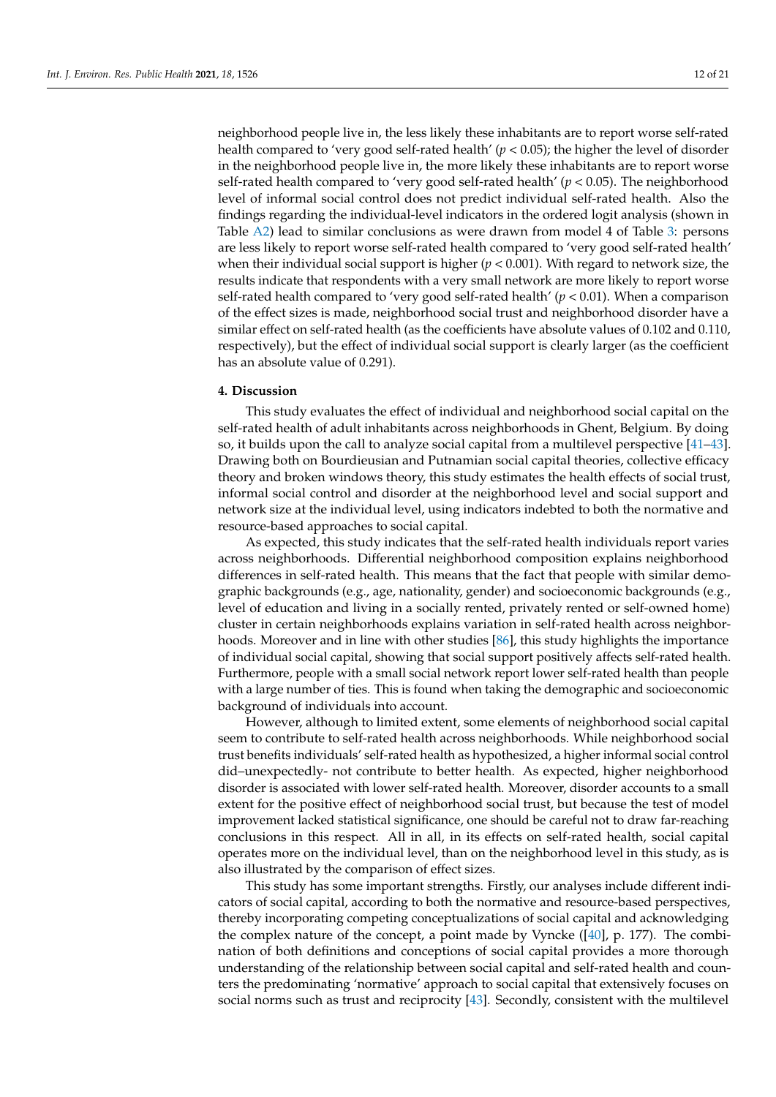neighborhood people live in, the less likely these inhabitants are to report worse self-rated health compared to 'very good self-rated health'  $(p < 0.05)$ ; the higher the level of disorder in the neighborhood people live in, the more likely these inhabitants are to report worse self-rated health compared to 'very good self-rated health'  $(p < 0.05)$ . The neighborhood level of informal social control does not predict individual self-rated health. Also the findings regarding the individual-level indicators in the ordered logit analysis (shown in Table [A2\)](#page-17-8) lead to similar conclusions as were drawn from model 4 of Table [3:](#page-9-1) persons are less likely to report worse self-rated health compared to 'very good self-rated health' when their individual social support is higher  $(p < 0.001)$ . With regard to network size, the results indicate that respondents with a very small network are more likely to report worse self-rated health compared to 'very good self-rated health' (*p* < 0.01). When a comparison of the effect sizes is made, neighborhood social trust and neighborhood disorder have a similar effect on self-rated health (as the coefficients have absolute values of 0.102 and 0.110, respectively), but the effect of individual social support is clearly larger (as the coefficient has an absolute value of 0.291).

### **4. Discussion**

This study evaluates the effect of individual and neighborhood social capital on the self-rated health of adult inhabitants across neighborhoods in Ghent, Belgium. By doing so, it builds upon the call to analyze social capital from a multilevel perspective [\[41](#page-18-24)[–43\]](#page-19-0). Drawing both on Bourdieusian and Putnamian social capital theories, collective efficacy theory and broken windows theory, this study estimates the health effects of social trust, informal social control and disorder at the neighborhood level and social support and network size at the individual level, using indicators indebted to both the normative and resource-based approaches to social capital.

As expected, this study indicates that the self-rated health individuals report varies across neighborhoods. Differential neighborhood composition explains neighborhood differences in self-rated health. This means that the fact that people with similar demographic backgrounds (e.g., age, nationality, gender) and socioeconomic backgrounds (e.g., level of education and living in a socially rented, privately rented or self-owned home) cluster in certain neighborhoods explains variation in self-rated health across neighborhoods. Moreover and in line with other studies [\[86\]](#page-20-9), this study highlights the importance of individual social capital, showing that social support positively affects self-rated health. Furthermore, people with a small social network report lower self-rated health than people with a large number of ties. This is found when taking the demographic and socioeconomic background of individuals into account.

However, although to limited extent, some elements of neighborhood social capital seem to contribute to self-rated health across neighborhoods. While neighborhood social trust benefits individuals' self-rated health as hypothesized, a higher informal social control did–unexpectedly- not contribute to better health. As expected, higher neighborhood disorder is associated with lower self-rated health. Moreover, disorder accounts to a small extent for the positive effect of neighborhood social trust, but because the test of model improvement lacked statistical significance, one should be careful not to draw far-reaching conclusions in this respect. All in all, in its effects on self-rated health, social capital operates more on the individual level, than on the neighborhood level in this study, as is also illustrated by the comparison of effect sizes.

This study has some important strengths. Firstly, our analyses include different indicators of social capital, according to both the normative and resource-based perspectives, thereby incorporating competing conceptualizations of social capital and acknowledging the complex nature of the concept, a point made by Vyncke ([\[40\]](#page-18-23), p. 177). The combination of both definitions and conceptions of social capital provides a more thorough understanding of the relationship between social capital and self-rated health and counters the predominating 'normative' approach to social capital that extensively focuses on social norms such as trust and reciprocity [\[43\]](#page-19-0). Secondly, consistent with the multilevel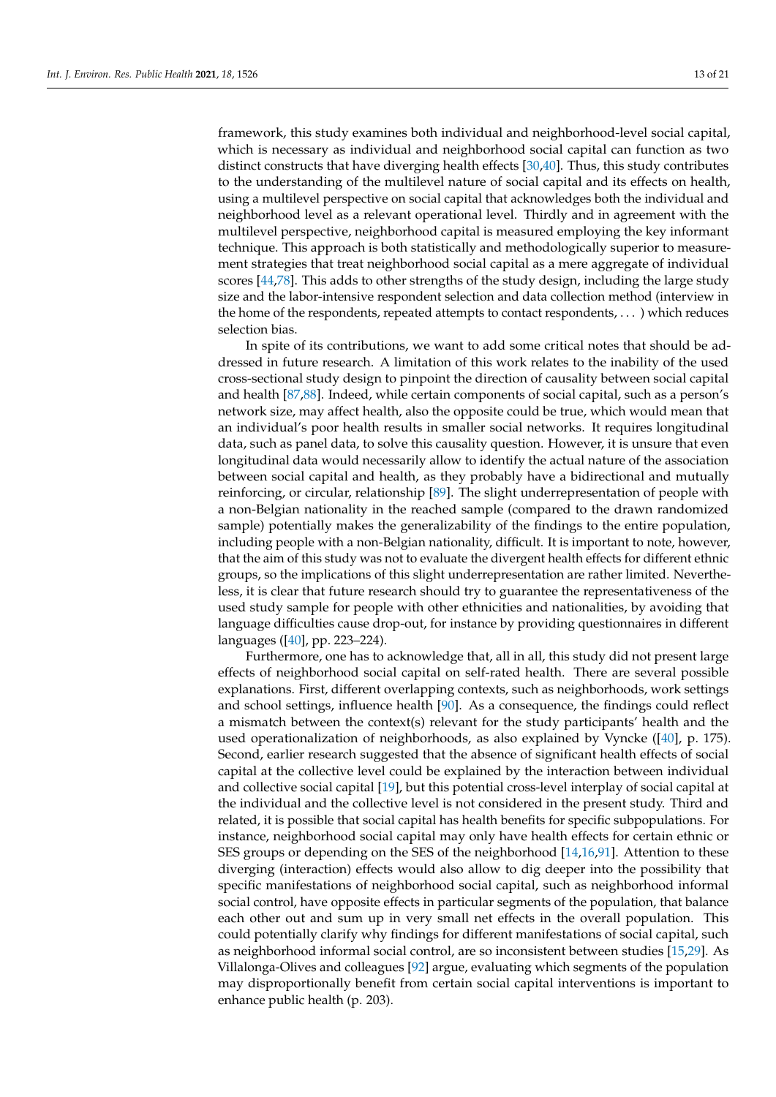framework, this study examines both individual and neighborhood-level social capital, which is necessary as individual and neighborhood social capital can function as two distinct constructs that have diverging health effects [\[30,](#page-18-16)[40\]](#page-18-23). Thus, this study contributes to the understanding of the multilevel nature of social capital and its effects on health, using a multilevel perspective on social capital that acknowledges both the individual and neighborhood level as a relevant operational level. Thirdly and in agreement with the multilevel perspective, neighborhood capital is measured employing the key informant technique. This approach is both statistically and methodologically superior to measurement strategies that treat neighborhood social capital as a mere aggregate of individual scores [\[44,](#page-19-1)[78\]](#page-20-2). This adds to other strengths of the study design, including the large study size and the labor-intensive respondent selection and data collection method (interview in the home of the respondents, repeated attempts to contact respondents, . . . ) which reduces selection bias.

In spite of its contributions, we want to add some critical notes that should be addressed in future research. A limitation of this work relates to the inability of the used cross-sectional study design to pinpoint the direction of causality between social capital and health [\[87](#page-20-10)[,88\]](#page-20-11). Indeed, while certain components of social capital, such as a person's network size, may affect health, also the opposite could be true, which would mean that an individual's poor health results in smaller social networks. It requires longitudinal data, such as panel data, to solve this causality question. However, it is unsure that even longitudinal data would necessarily allow to identify the actual nature of the association between social capital and health, as they probably have a bidirectional and mutually reinforcing, or circular, relationship [\[89\]](#page-20-12). The slight underrepresentation of people with a non-Belgian nationality in the reached sample (compared to the drawn randomized sample) potentially makes the generalizability of the findings to the entire population, including people with a non-Belgian nationality, difficult. It is important to note, however, that the aim of this study was not to evaluate the divergent health effects for different ethnic groups, so the implications of this slight underrepresentation are rather limited. Nevertheless, it is clear that future research should try to guarantee the representativeness of the used study sample for people with other ethnicities and nationalities, by avoiding that language difficulties cause drop-out, for instance by providing questionnaires in different languages ([\[40\]](#page-18-23), pp. 223–224).

Furthermore, one has to acknowledge that, all in all, this study did not present large effects of neighborhood social capital on self-rated health. There are several possible explanations. First, different overlapping contexts, such as neighborhoods, work settings and school settings, influence health [\[90\]](#page-20-13). As a consequence, the findings could reflect a mismatch between the context(s) relevant for the study participants' health and the used operationalization of neighborhoods, as also explained by Vyncke ([\[40\]](#page-18-23), p. 175). Second, earlier research suggested that the absence of significant health effects of social capital at the collective level could be explained by the interaction between individual and collective social capital [\[19\]](#page-18-5), but this potential cross-level interplay of social capital at the individual and the collective level is not considered in the present study. Third and related, it is possible that social capital has health benefits for specific subpopulations. For instance, neighborhood social capital may only have health effects for certain ethnic or SES groups or depending on the SES of the neighborhood [\[14](#page-18-1)[,16](#page-18-9)[,91\]](#page-20-14). Attention to these diverging (interaction) effects would also allow to dig deeper into the possibility that specific manifestations of neighborhood social capital, such as neighborhood informal social control, have opposite effects in particular segments of the population, that balance each other out and sum up in very small net effects in the overall population. This could potentially clarify why findings for different manifestations of social capital, such as neighborhood informal social control, are so inconsistent between studies [\[15](#page-18-3)[,29\]](#page-18-15). As Villalonga-Olives and colleagues [\[92\]](#page-20-15) argue, evaluating which segments of the population may disproportionally benefit from certain social capital interventions is important to enhance public health (p. 203).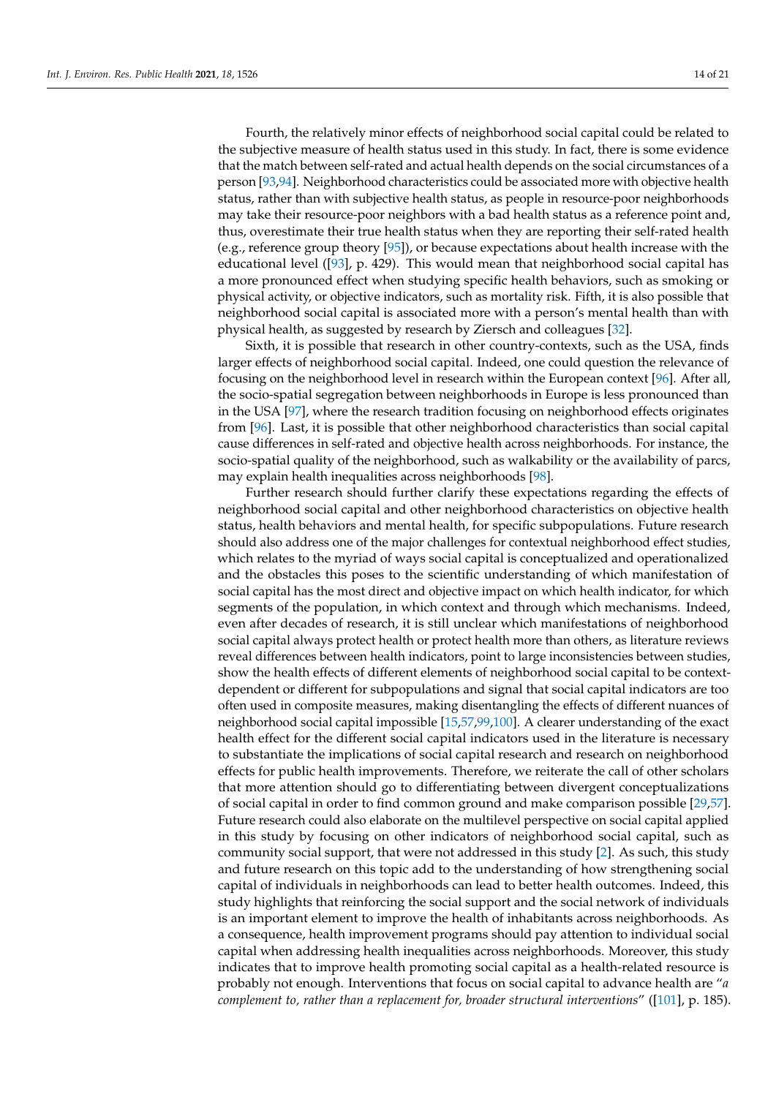Fourth, the relatively minor effects of neighborhood social capital could be related to the subjective measure of health status used in this study. In fact, there is some evidence that the match between self-rated and actual health depends on the social circumstances of a person [\[93,](#page-20-16)[94\]](#page-20-17). Neighborhood characteristics could be associated more with objective health status, rather than with subjective health status, as people in resource-poor neighborhoods may take their resource-poor neighbors with a bad health status as a reference point and, thus, overestimate their true health status when they are reporting their self-rated health (e.g., reference group theory [\[95\]](#page-20-18)), or because expectations about health increase with the educational level ([\[93\]](#page-20-16), p. 429). This would mean that neighborhood social capital has a more pronounced effect when studying specific health behaviors, such as smoking or physical activity, or objective indicators, such as mortality risk. Fifth, it is also possible that neighborhood social capital is associated more with a person's mental health than with physical health, as suggested by research by Ziersch and colleagues [\[32\]](#page-18-25).

Sixth, it is possible that research in other country-contexts, such as the USA, finds larger effects of neighborhood social capital. Indeed, one could question the relevance of focusing on the neighborhood level in research within the European context [\[96\]](#page-20-19). After all, the socio-spatial segregation between neighborhoods in Europe is less pronounced than in the USA [\[97\]](#page-20-20), where the research tradition focusing on neighborhood effects originates from [\[96\]](#page-20-19). Last, it is possible that other neighborhood characteristics than social capital cause differences in self-rated and objective health across neighborhoods. For instance, the socio-spatial quality of the neighborhood, such as walkability or the availability of parcs, may explain health inequalities across neighborhoods [\[98\]](#page-20-21).

Further research should further clarify these expectations regarding the effects of neighborhood social capital and other neighborhood characteristics on objective health status, health behaviors and mental health, for specific subpopulations. Future research should also address one of the major challenges for contextual neighborhood effect studies, which relates to the myriad of ways social capital is conceptualized and operationalized and the obstacles this poses to the scientific understanding of which manifestation of social capital has the most direct and objective impact on which health indicator, for which segments of the population, in which context and through which mechanisms. Indeed, even after decades of research, it is still unclear which manifestations of neighborhood social capital always protect health or protect health more than others, as literature reviews reveal differences between health indicators, point to large inconsistencies between studies, show the health effects of different elements of neighborhood social capital to be contextdependent or different for subpopulations and signal that social capital indicators are too often used in composite measures, making disentangling the effects of different nuances of neighborhood social capital impossible [\[15](#page-18-3)[,57,](#page-19-14)[99,](#page-20-22)[100\]](#page-20-23). A clearer understanding of the exact health effect for the different social capital indicators used in the literature is necessary to substantiate the implications of social capital research and research on neighborhood effects for public health improvements. Therefore, we reiterate the call of other scholars that more attention should go to differentiating between divergent conceptualizations of social capital in order to find common ground and make comparison possible [\[29,](#page-18-15)[57\]](#page-19-14). Future research could also elaborate on the multilevel perspective on social capital applied in this study by focusing on other indicators of neighborhood social capital, such as community social support, that were not addressed in this study [\[2\]](#page-17-1). As such, this study and future research on this topic add to the understanding of how strengthening social capital of individuals in neighborhoods can lead to better health outcomes. Indeed, this study highlights that reinforcing the social support and the social network of individuals is an important element to improve the health of inhabitants across neighborhoods. As a consequence, health improvement programs should pay attention to individual social capital when addressing health inequalities across neighborhoods. Moreover, this study indicates that to improve health promoting social capital as a health-related resource is probably not enough. Interventions that focus on social capital to advance health are "*a complement to, rather than a replacement for, broader structural interventions*" ([\[101\]](#page-20-24), p. 185).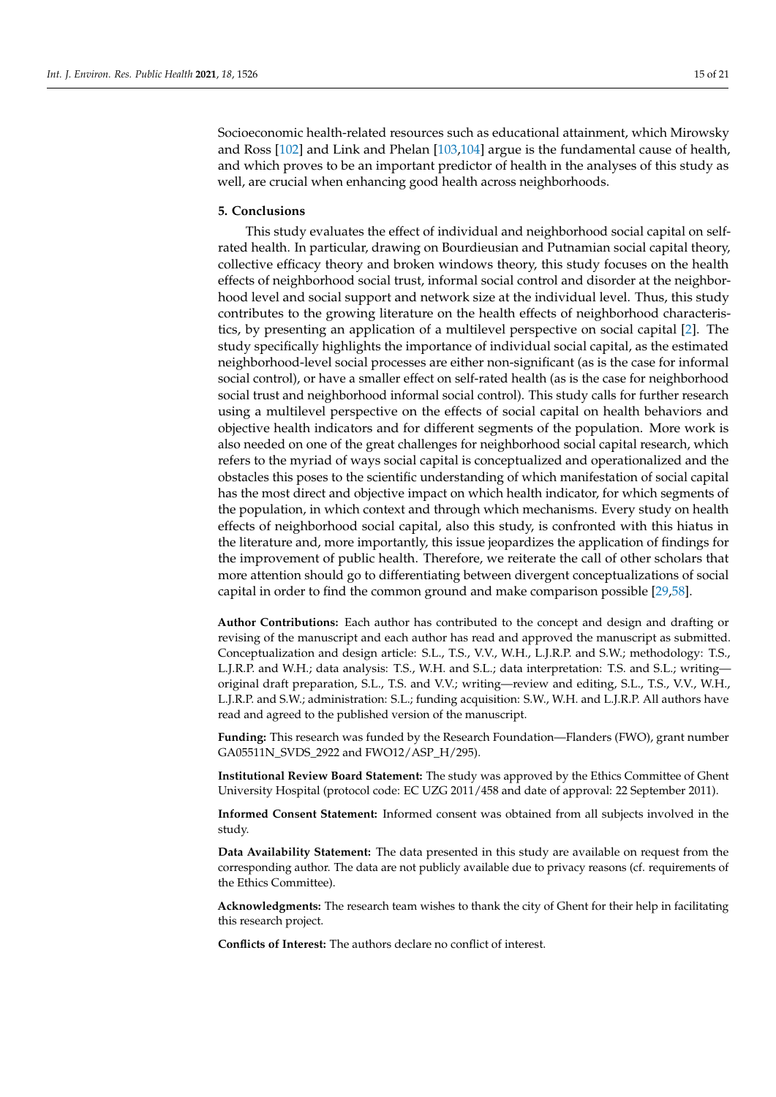Socioeconomic health-related resources such as educational attainment, which Mirowsky and Ross [\[102\]](#page-20-25) and Link and Phelan [\[103,](#page-20-26)[104\]](#page-20-27) argue is the fundamental cause of health, and which proves to be an important predictor of health in the analyses of this study as well, are crucial when enhancing good health across neighborhoods.

#### **5. Conclusions**

This study evaluates the effect of individual and neighborhood social capital on selfrated health. In particular, drawing on Bourdieusian and Putnamian social capital theory, collective efficacy theory and broken windows theory, this study focuses on the health effects of neighborhood social trust, informal social control and disorder at the neighborhood level and social support and network size at the individual level. Thus, this study contributes to the growing literature on the health effects of neighborhood characteristics, by presenting an application of a multilevel perspective on social capital [\[2\]](#page-17-1). The study specifically highlights the importance of individual social capital, as the estimated neighborhood-level social processes are either non-significant (as is the case for informal social control), or have a smaller effect on self-rated health (as is the case for neighborhood social trust and neighborhood informal social control). This study calls for further research using a multilevel perspective on the effects of social capital on health behaviors and objective health indicators and for different segments of the population. More work is also needed on one of the great challenges for neighborhood social capital research, which refers to the myriad of ways social capital is conceptualized and operationalized and the obstacles this poses to the scientific understanding of which manifestation of social capital has the most direct and objective impact on which health indicator, for which segments of the population, in which context and through which mechanisms. Every study on health effects of neighborhood social capital, also this study, is confronted with this hiatus in the literature and, more importantly, this issue jeopardizes the application of findings for the improvement of public health. Therefore, we reiterate the call of other scholars that more attention should go to differentiating between divergent conceptualizations of social capital in order to find the common ground and make comparison possible [\[29,](#page-18-15)[58\]](#page-19-15).

**Author Contributions:** Each author has contributed to the concept and design and drafting or revising of the manuscript and each author has read and approved the manuscript as submitted. Conceptualization and design article: S.L., T.S., V.V., W.H., L.J.R.P. and S.W.; methodology: T.S., L.J.R.P. and W.H.; data analysis: T.S., W.H. and S.L.; data interpretation: T.S. and S.L.; writing original draft preparation, S.L., T.S. and V.V.; writing—review and editing, S.L., T.S., V.V., W.H., L.J.R.P. and S.W.; administration: S.L.; funding acquisition: S.W., W.H. and L.J.R.P. All authors have read and agreed to the published version of the manuscript.

**Funding:** This research was funded by the Research Foundation—Flanders (FWO), grant number GA05511N\_SVDS\_2922 and FWO12/ASP\_H/295).

**Institutional Review Board Statement:** The study was approved by the Ethics Committee of Ghent University Hospital (protocol code: EC UZG 2011/458 and date of approval: 22 September 2011).

**Informed Consent Statement:** Informed consent was obtained from all subjects involved in the study.

**Data Availability Statement:** The data presented in this study are available on request from the corresponding author. The data are not publicly available due to privacy reasons (cf. requirements of the Ethics Committee).

**Acknowledgments:** The research team wishes to thank the city of Ghent for their help in facilitating this research project.

**Conflicts of Interest:** The authors declare no conflict of interest.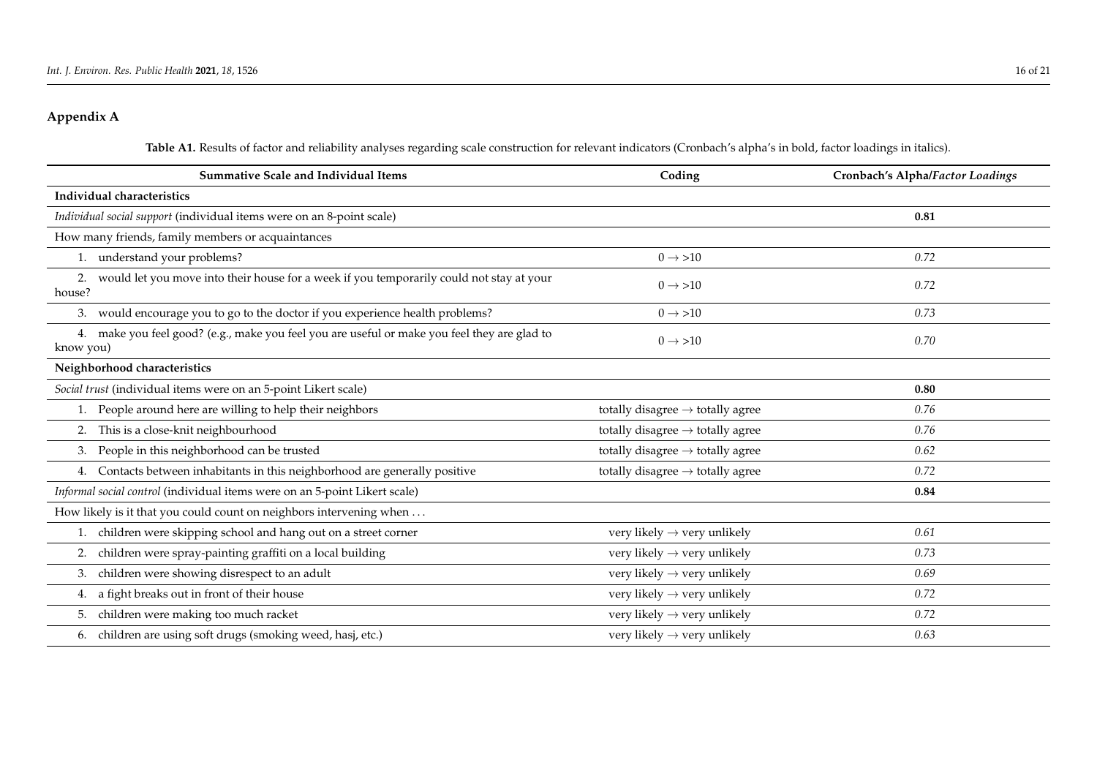## **Appendix A**

Table A1. Results of factor and reliability analyses regarding scale construction for relevant indicators (Cronbach's alpha's in bold, factor loadings in italics).

| <b>Summative Scale and Individual Items</b>                                                               | Coding                                       | Cronbach's Alpha/Factor Loadings |
|-----------------------------------------------------------------------------------------------------------|----------------------------------------------|----------------------------------|
| Individual characteristics                                                                                |                                              |                                  |
| Individual social support (individual items were on an 8-point scale)                                     |                                              | 0.81                             |
| How many friends, family members or acquaintances                                                         |                                              |                                  |
| 1. understand your problems?                                                                              | $0 \rightarrow > 10$                         | 0.72                             |
| would let you move into their house for a week if you temporarily could not stay at your<br>2.<br>house?  | $0 \rightarrow > 10$                         | 0.72                             |
| 3. would encourage you to go to the doctor if you experience health problems?                             | $0 \rightarrow > 10$                         | 0.73                             |
| 4. make you feel good? (e.g., make you feel you are useful or make you feel they are glad to<br>know you) | $0 \rightarrow > 10$                         | 0.70                             |
| Neighborhood characteristics                                                                              |                                              |                                  |
| Social trust (individual items were on an 5-point Likert scale)                                           |                                              | 0.80                             |
| People around here are willing to help their neighbors                                                    | totally disagree $\rightarrow$ totally agree | 0.76                             |
| 2. This is a close-knit neighbourhood                                                                     | totally disagree $\rightarrow$ totally agree | 0.76                             |
| 3. People in this neighborhood can be trusted                                                             | totally disagree $\rightarrow$ totally agree | 0.62                             |
| 4. Contacts between inhabitants in this neighborhood are generally positive                               | totally disagree $\rightarrow$ totally agree | 0.72                             |
| Informal social control (individual items were on an 5-point Likert scale)                                |                                              | 0.84                             |
| How likely is it that you could count on neighbors intervening when                                       |                                              |                                  |
| 1. children were skipping school and hang out on a street corner                                          | very likely $\rightarrow$ very unlikely      | 0.61                             |
| children were spray-painting graffiti on a local building<br>2.                                           | very likely $\rightarrow$ very unlikely      | 0.73                             |
| children were showing disrespect to an adult<br>3.                                                        | very likely $\rightarrow$ very unlikely      | 0.69                             |
| a fight breaks out in front of their house<br>4.                                                          | very likely $\rightarrow$ very unlikely      | 0.72                             |
| children were making too much racket<br>5.                                                                | very likely $\rightarrow$ very unlikely      | 0.72                             |
| 6. children are using soft drugs (smoking weed, hasj, etc.)                                               | very likely $\rightarrow$ very unlikely      | 0.63                             |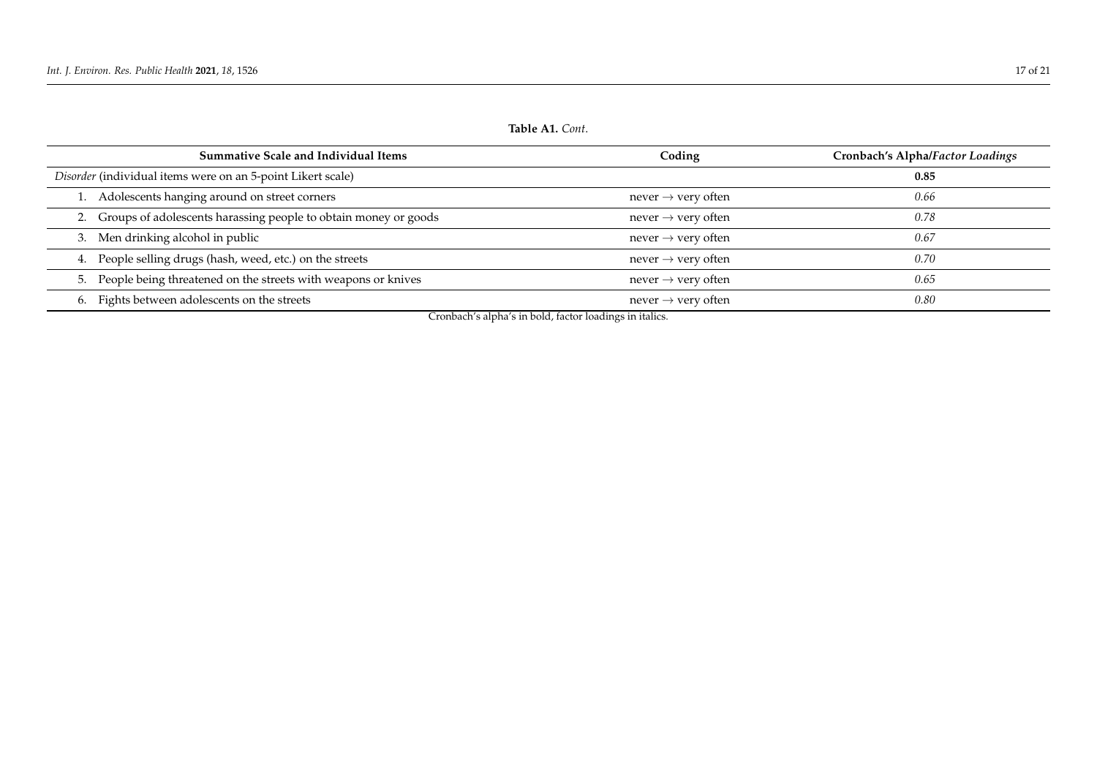<span id="page-16-0"></span>

| Table Al. Cont.                                                    |                                |                                  |  |  |  |
|--------------------------------------------------------------------|--------------------------------|----------------------------------|--|--|--|
| <b>Summative Scale and Individual Items</b>                        | Coding                         | Cronbach's Alpha/Factor Loadings |  |  |  |
| Disorder (individual items were on an 5-point Likert scale)        |                                | 0.85                             |  |  |  |
| 1. Adolescents hanging around on street corners                    | never $\rightarrow$ very often | 0.66                             |  |  |  |
| 2. Groups of adolescents harassing people to obtain money or goods | never $\rightarrow$ very often | 0.78                             |  |  |  |
| 3. Men drinking alcohol in public                                  | never $\rightarrow$ very often | 0.67                             |  |  |  |
| 4. People selling drugs (hash, weed, etc.) on the streets          | never $\rightarrow$ very often | 0.70                             |  |  |  |
| 5. People being threatened on the streets with weapons or knives   | never $\rightarrow$ very often | 0.65                             |  |  |  |
| 6. Fights between adolescents on the streets                       | never $\rightarrow$ very often | 0.80                             |  |  |  |

Cronbach's alpha's in bold, factor loadings in italics.

**Table A1.** *Cont*.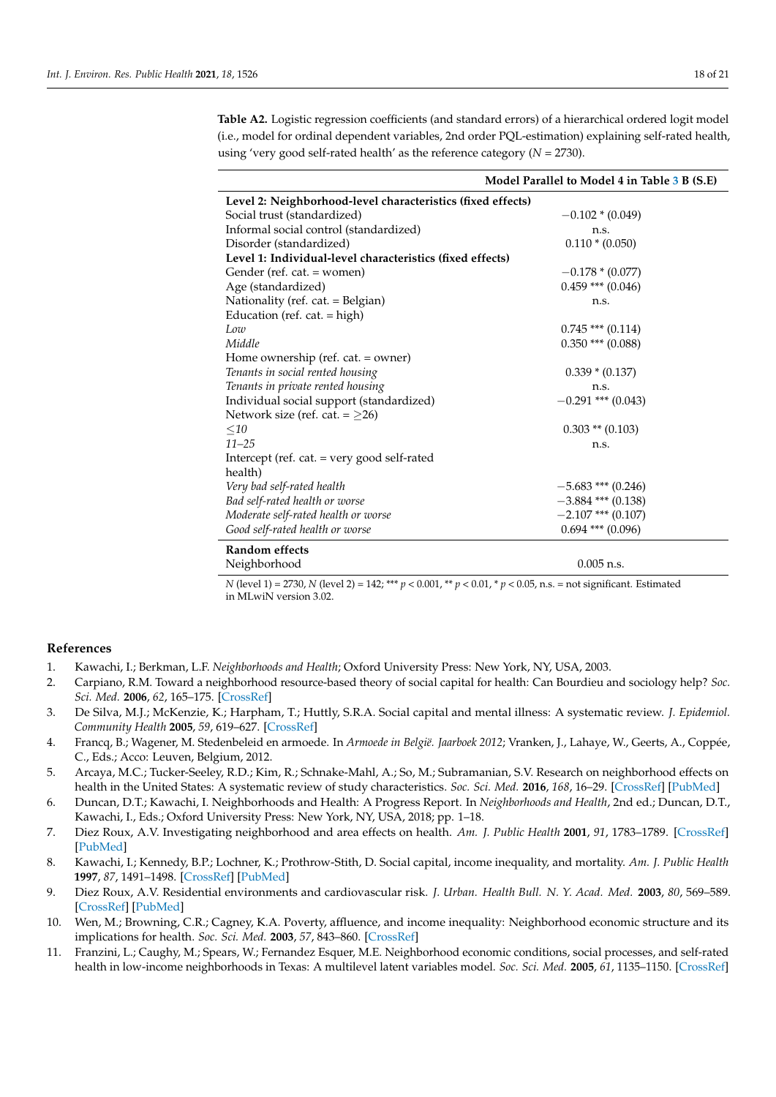<span id="page-17-8"></span>**Table A2.** Logistic regression coefficients (and standard errors) of a hierarchical ordered logit model (i.e., model for ordinal dependent variables, 2nd order PQL-estimation) explaining self-rated health, using 'very good self-rated health' as the reference category (*N* = 2730).

|                                                             | Model Parallel to Model 4 in Table 3 B (S.E) |
|-------------------------------------------------------------|----------------------------------------------|
| Level 2: Neighborhood-level characteristics (fixed effects) |                                              |
| Social trust (standardized)                                 | $-0.102 * (0.049)$                           |
| Informal social control (standardized)                      | n.S.                                         |
| Disorder (standardized)                                     | $0.110 * (0.050)$                            |
| Level 1: Individual-level characteristics (fixed effects)   |                                              |
| Gender (ref. cat. = women)                                  | $-0.178*(0.077)$                             |
| Age (standardized)                                          | $0.459$ *** $(0.046)$                        |
| Nationality (ref. cat. = Belgian)                           | n.s.                                         |
| Education (ref. cat. = high)                                |                                              |
| Low                                                         | $0.745$ *** $(0.114)$                        |
| Middle                                                      | $0.350$ *** $(0.088)$                        |
| Home ownership (ref. cat. = owner)                          |                                              |
| Tenants in social rented housing                            | $0.339 * (0.137)$                            |
| Tenants in private rented housing                           | n.s.                                         |
| Individual social support (standardized)                    | $-0.291$ *** (0.043)                         |
| Network size (ref. cat. = $\geq$ 26)                        |                                              |
| $\leq$ 10                                                   | $0.303$ ** $(0.103)$                         |
| $11 - 25$                                                   | n.s.                                         |
| Intercept (ref. cat. = very good self-rated                 |                                              |
| health)                                                     |                                              |
| Very bad self-rated health                                  | $-5.683$ *** (0.246)                         |
| Bad self-rated health or worse                              | $-3.884$ *** (0.138)                         |
| Moderate self-rated health or worse                         | $-2.107$ *** (0.107)                         |
| Good self-rated health or worse                             | $0.694$ *** $(0.096)$                        |
| Random effects                                              |                                              |

Neighborhood 0.005 n.s. *N* (level 1) = 2730, *N* (level 2) = 142; \*\*\* *p* < 0.001, \*\* *p* < 0.01, \* *p* < 0.05, n.s. = not significant. Estimated in MLwiN version 3.02.

#### **References**

- <span id="page-17-0"></span>1. Kawachi, I.; Berkman, L.F. *Neighborhoods and Health*; Oxford University Press: New York, NY, USA, 2003.
- <span id="page-17-1"></span>2. Carpiano, R.M. Toward a neighborhood resource-based theory of social capital for health: Can Bourdieu and sociology help? *Soc. Sci. Med.* **2006**, *62*, 165–175. [\[CrossRef\]](http://doi.org/10.1016/j.socscimed.2005.05.020)
- <span id="page-17-2"></span>3. De Silva, M.J.; McKenzie, K.; Harpham, T.; Huttly, S.R.A. Social capital and mental illness: A systematic review. *J. Epidemiol. Community Health* **2005**, *59*, 619–627. [\[CrossRef\]](http://doi.org/10.1136/jech.2004.029678)
- 4. Francq, B.; Wagener, M. Stedenbeleid en armoede. In *Armoede in België. Jaarboek 2012*; Vranken, J., Lahaye, W., Geerts, A., Coppée, C., Eds.; Acco: Leuven, Belgium, 2012.
- 5. Arcaya, M.C.; Tucker-Seeley, R.D.; Kim, R.; Schnake-Mahl, A.; So, M.; Subramanian, S.V. Research on neighborhood effects on health in the United States: A systematic review of study characteristics. *Soc. Sci. Med.* **2016**, *168*, 16–29. [\[CrossRef\]](http://doi.org/10.1016/j.socscimed.2016.08.047) [\[PubMed\]](http://www.ncbi.nlm.nih.gov/pubmed/27637089)
- 6. Duncan, D.T.; Kawachi, I. Neighborhoods and Health: A Progress Report. In *Neighborhoods and Health*, 2nd ed.; Duncan, D.T., Kawachi, I., Eds.; Oxford University Press: New York, NY, USA, 2018; pp. 1–18.
- <span id="page-17-3"></span>7. Diez Roux, A.V. Investigating neighborhood and area effects on health. *Am. J. Public Health* **2001**, *91*, 1783–1789. [\[CrossRef\]](http://doi.org/10.2105/AJPH.91.11.1783) [\[PubMed\]](http://www.ncbi.nlm.nih.gov/pubmed/11684601)
- <span id="page-17-4"></span>8. Kawachi, I.; Kennedy, B.P.; Lochner, K.; Prothrow-Stith, D. Social capital, income inequality, and mortality. *Am. J. Public Health* **1997**, *87*, 1491–1498. [\[CrossRef\]](http://doi.org/10.2105/AJPH.87.9.1491) [\[PubMed\]](http://www.ncbi.nlm.nih.gov/pubmed/9314802)
- <span id="page-17-5"></span>9. Diez Roux, A.V. Residential environments and cardiovascular risk. *J. Urban. Health Bull. N. Y. Acad. Med.* **2003**, *80*, 569–589. [\[CrossRef\]](http://doi.org/10.1093/jurban/jtg065) [\[PubMed\]](http://www.ncbi.nlm.nih.gov/pubmed/14709706)
- <span id="page-17-6"></span>10. Wen, M.; Browning, C.R.; Cagney, K.A. Poverty, affluence, and income inequality: Neighborhood economic structure and its implications for health. *Soc. Sci. Med.* **2003**, *57*, 843–860. [\[CrossRef\]](http://doi.org/10.1016/S0277-9536(02)00457-4)
- <span id="page-17-7"></span>11. Franzini, L.; Caughy, M.; Spears, W.; Fernandez Esquer, M.E. Neighborhood economic conditions, social processes, and self-rated health in low-income neighborhoods in Texas: A multilevel latent variables model. *Soc. Sci. Med.* **2005**, *61*, 1135–1150. [\[CrossRef\]](http://doi.org/10.1016/j.socscimed.2005.02.010)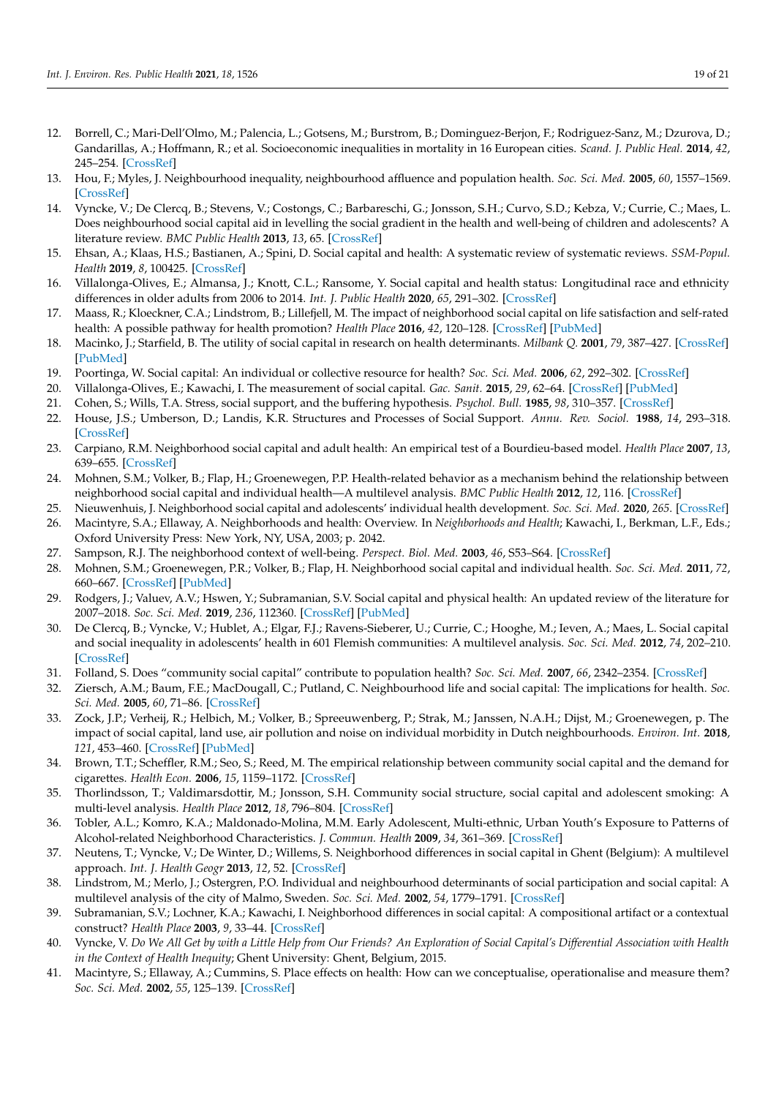- 12. Borrell, C.; Mari-Dell'Olmo, M.; Palencia, L.; Gotsens, M.; Burstrom, B.; Dominguez-Berjon, F.; Rodriguez-Sanz, M.; Dzurova, D.; Gandarillas, A.; Hoffmann, R.; et al. Socioeconomic inequalities in mortality in 16 European cities. *Scand. J. Public Heal.* **2014**, *42*, 245–254. [\[CrossRef\]](http://doi.org/10.1177/1403494814522556)
- <span id="page-18-0"></span>13. Hou, F.; Myles, J. Neighbourhood inequality, neighbourhood affluence and population health. *Soc. Sci. Med.* **2005**, *60*, 1557–1569. [\[CrossRef\]](http://doi.org/10.1016/j.socscimed.2004.08.033)
- <span id="page-18-1"></span>14. Vyncke, V.; De Clercq, B.; Stevens, V.; Costongs, C.; Barbareschi, G.; Jonsson, S.H.; Curvo, S.D.; Kebza, V.; Currie, C.; Maes, L. Does neighbourhood social capital aid in levelling the social gradient in the health and well-being of children and adolescents? A literature review. *BMC Public Health* **2013**, *13*, 65. [\[CrossRef\]](http://doi.org/10.1186/1471-2458-13-65)
- <span id="page-18-3"></span>15. Ehsan, A.; Klaas, H.S.; Bastianen, A.; Spini, D. Social capital and health: A systematic review of systematic reviews. *SSM-Popul. Health* **2019**, *8*, 100425. [\[CrossRef\]](http://doi.org/10.1016/j.ssmph.2019.100425)
- <span id="page-18-9"></span>16. Villalonga-Olives, E.; Almansa, J.; Knott, C.L.; Ransome, Y. Social capital and health status: Longitudinal race and ethnicity differences in older adults from 2006 to 2014. *Int. J. Public Health* **2020**, *65*, 291–302. [\[CrossRef\]](http://doi.org/10.1007/s00038-020-01341-2)
- <span id="page-18-2"></span>17. Maass, R.; Kloeckner, C.A.; Lindstrom, B.; Lillefjell, M. The impact of neighborhood social capital on life satisfaction and self-rated health: A possible pathway for health promotion? *Health Place* **2016**, *42*, 120–128. [\[CrossRef\]](http://doi.org/10.1016/j.healthplace.2016.09.011) [\[PubMed\]](http://www.ncbi.nlm.nih.gov/pubmed/27770668)
- <span id="page-18-4"></span>18. Macinko, J.; Starfield, B. The utility of social capital in research on health determinants. *Milbank Q.* **2001**, *79*, 387–427. [\[CrossRef\]](http://doi.org/10.1111/1468-0009.00213) [\[PubMed\]](http://www.ncbi.nlm.nih.gov/pubmed/11565162)
- <span id="page-18-5"></span>19. Poortinga, W. Social capital: An individual or collective resource for health? *Soc. Sci. Med.* **2006**, *62*, 292–302. [\[CrossRef\]](http://doi.org/10.1016/j.socscimed.2005.06.008)
- <span id="page-18-6"></span>20. Villalonga-Olives, E.; Kawachi, I. The measurement of social capital. *Gac. Sanit.* **2015**, *29*, 62–64. [\[CrossRef\]](http://doi.org/10.1016/j.gaceta.2014.09.006) [\[PubMed\]](http://www.ncbi.nlm.nih.gov/pubmed/25444390)
- <span id="page-18-7"></span>21. Cohen, S.; Wills, T.A. Stress, social support, and the buffering hypothesis. *Psychol. Bull.* **1985**, *98*, 310–357. [\[CrossRef\]](http://doi.org/10.1037/0033-2909.98.2.310)
- <span id="page-18-8"></span>22. House, J.S.; Umberson, D.; Landis, K.R. Structures and Processes of Social Support. *Annu. Rev. Sociol.* **1988**, *14*, 293–318. [\[CrossRef\]](http://doi.org/10.1146/annurev.so.14.080188.001453)
- <span id="page-18-10"></span>23. Carpiano, R.M. Neighborhood social capital and adult health: An empirical test of a Bourdieu-based model. *Health Place* **2007**, *13*, 639–655. [\[CrossRef\]](http://doi.org/10.1016/j.healthplace.2006.09.001)
- <span id="page-18-18"></span>24. Mohnen, S.M.; Volker, B.; Flap, H.; Groenewegen, P.P. Health-related behavior as a mechanism behind the relationship between neighborhood social capital and individual health—A multilevel analysis. *BMC Public Health* **2012**, *12*, 116. [\[CrossRef\]](http://doi.org/10.1186/1471-2458-12-116)
- <span id="page-18-11"></span>25. Nieuwenhuis, J. Neighborhood social capital and adolescents' individual health development. *Soc. Sci. Med.* **2020**, *265*. [\[CrossRef\]](http://doi.org/10.1016/j.socscimed.2020.113417)
- <span id="page-18-12"></span>26. Macintyre, S.A.; Ellaway, A. Neighborhoods and health: Overview. In *Neighborhoods and Health*; Kawachi, I., Berkman, L.F., Eds.; Oxford University Press: New York, NY, USA, 2003; p. 2042.
- <span id="page-18-13"></span>27. Sampson, R.J. The neighborhood context of well-being. *Perspect. Biol. Med.* **2003**, *46*, S53–S64. [\[CrossRef\]](http://doi.org/10.1353/pbm.2003.0059)
- <span id="page-18-14"></span>28. Mohnen, S.M.; Groenewegen, P.R.; Volker, B.; Flap, H. Neighborhood social capital and individual health. *Soc. Sci. Med.* **2011**, *72*, 660–667. [\[CrossRef\]](http://doi.org/10.1016/j.socscimed.2010.12.004) [\[PubMed\]](http://www.ncbi.nlm.nih.gov/pubmed/21251743)
- <span id="page-18-15"></span>29. Rodgers, J.; Valuev, A.V.; Hswen, Y.; Subramanian, S.V. Social capital and physical health: An updated review of the literature for 2007–2018. *Soc. Sci. Med.* **2019**, *236*, 112360. [\[CrossRef\]](http://doi.org/10.1016/j.socscimed.2019.112360) [\[PubMed\]](http://www.ncbi.nlm.nih.gov/pubmed/31352315)
- <span id="page-18-16"></span>30. De Clercq, B.; Vyncke, V.; Hublet, A.; Elgar, F.J.; Ravens-Sieberer, U.; Currie, C.; Hooghe, M.; Ieven, A.; Maes, L. Social capital and social inequality in adolescents' health in 601 Flemish communities: A multilevel analysis. *Soc. Sci. Med.* **2012**, *74*, 202–210. [\[CrossRef\]](http://doi.org/10.1016/j.socscimed.2011.10.025)
- 31. Folland, S. Does "community social capital" contribute to population health? *Soc. Sci. Med.* **2007**, *66*, 2342–2354. [\[CrossRef\]](http://doi.org/10.1016/j.socscimed.2007.03.003)
- <span id="page-18-25"></span>32. Ziersch, A.M.; Baum, F.E.; MacDougall, C.; Putland, C. Neighbourhood life and social capital: The implications for health. *Soc. Sci. Med.* **2005**, *60*, 71–86. [\[CrossRef\]](http://doi.org/10.1016/j.socscimed.2004.04.027)
- <span id="page-18-17"></span>33. Zock, J.P.; Verheij, R.; Helbich, M.; Volker, B.; Spreeuwenberg, P.; Strak, M.; Janssen, N.A.H.; Dijst, M.; Groenewegen, p. The impact of social capital, land use, air pollution and noise on individual morbidity in Dutch neighbourhoods. *Environ. Int.* **2018**, *121*, 453–460. [\[CrossRef\]](http://doi.org/10.1016/j.envint.2018.09.008) [\[PubMed\]](http://www.ncbi.nlm.nih.gov/pubmed/30273868)
- <span id="page-18-19"></span>34. Brown, T.T.; Scheffler, R.M.; Seo, S.; Reed, M. The empirical relationship between community social capital and the demand for cigarettes. *Health Econ.* **2006**, *15*, 1159–1172. [\[CrossRef\]](http://doi.org/10.1002/hec.1119)
- 35. Thorlindsson, T.; Valdimarsdottir, M.; Jonsson, S.H. Community social structure, social capital and adolescent smoking: A multi-level analysis. *Health Place* **2012**, *18*, 796–804. [\[CrossRef\]](http://doi.org/10.1016/j.healthplace.2012.03.013)
- 36. Tobler, A.L.; Komro, K.A.; Maldonado-Molina, M.M. Early Adolescent, Multi-ethnic, Urban Youth's Exposure to Patterns of Alcohol-related Neighborhood Characteristics. *J. Commun. Health* **2009**, *34*, 361–369. [\[CrossRef\]](http://doi.org/10.1007/s10900-009-9168-2)
- <span id="page-18-20"></span>37. Neutens, T.; Vyncke, V.; De Winter, D.; Willems, S. Neighborhood differences in social capital in Ghent (Belgium): A multilevel approach. *Int. J. Health Geogr* **2013**, *12*, 52. [\[CrossRef\]](http://doi.org/10.1186/1476-072X-12-52)
- <span id="page-18-21"></span>38. Lindstrom, M.; Merlo, J.; Ostergren, P.O. Individual and neighbourhood determinants of social participation and social capital: A multilevel analysis of the city of Malmo, Sweden. *Soc. Sci. Med.* **2002**, *54*, 1779–1791. [\[CrossRef\]](http://doi.org/10.1016/S0277-9536(01)00147-2)
- <span id="page-18-22"></span>39. Subramanian, S.V.; Lochner, K.A.; Kawachi, I. Neighborhood differences in social capital: A compositional artifact or a contextual construct? *Health Place* **2003**, *9*, 33–44. [\[CrossRef\]](http://doi.org/10.1016/S1353-8292(02)00028-X)
- <span id="page-18-23"></span>40. Vyncke, V. *Do We All Get by with a Little Help from Our Friends? An Exploration of Social Capital's Differential Association with Health in the Context of Health Inequity*; Ghent University: Ghent, Belgium, 2015.
- <span id="page-18-24"></span>41. Macintyre, S.; Ellaway, A.; Cummins, S. Place effects on health: How can we conceptualise, operationalise and measure them? *Soc. Sci. Med.* **2002**, *55*, 125–139. [\[CrossRef\]](http://doi.org/10.1016/S0277-9536(01)00214-3)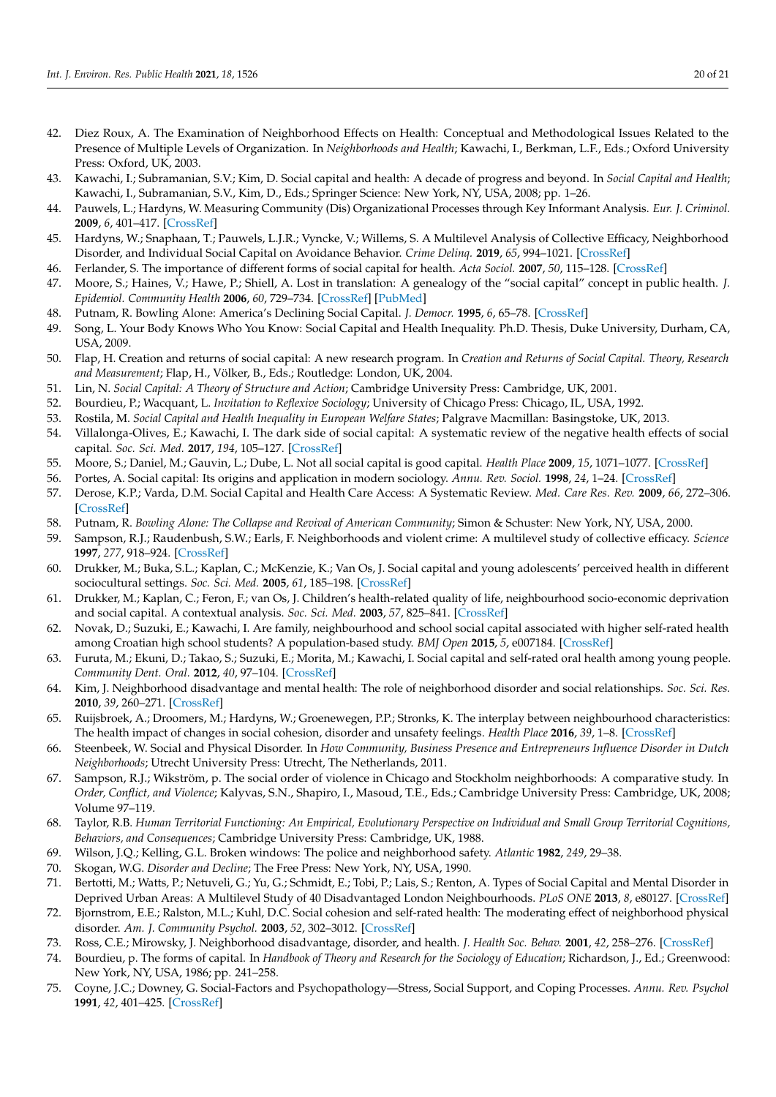- <span id="page-19-33"></span>42. Diez Roux, A. The Examination of Neighborhood Effects on Health: Conceptual and Methodological Issues Related to the Presence of Multiple Levels of Organization. In *Neighborhoods and Health*; Kawachi, I., Berkman, L.F., Eds.; Oxford University Press: Oxford, UK, 2003.
- <span id="page-19-0"></span>43. Kawachi, I.; Subramanian, S.V.; Kim, D. Social capital and health: A decade of progress and beyond. In *Social Capital and Health*; Kawachi, I., Subramanian, S.V., Kim, D., Eds.; Springer Science: New York, NY, USA, 2008; pp. 1–26.
- <span id="page-19-1"></span>44. Pauwels, L.; Hardyns, W. Measuring Community (Dis) Organizational Processes through Key Informant Analysis. *Eur. J. Criminol.* **2009**, *6*, 401–417. [\[CrossRef\]](http://doi.org/10.1177/1477370809337878)
- <span id="page-19-2"></span>45. Hardyns, W.; Snaphaan, T.; Pauwels, L.J.R.; Vyncke, V.; Willems, S. A Multilevel Analysis of Collective Efficacy, Neighborhood Disorder, and Individual Social Capital on Avoidance Behavior. *Crime Delinq.* **2019**, *65*, 994–1021. [\[CrossRef\]](http://doi.org/10.1177/0011128718788042)
- <span id="page-19-3"></span>46. Ferlander, S. The importance of different forms of social capital for health. *Acta Sociol.* **2007**, *50*, 115–128. [\[CrossRef\]](http://doi.org/10.1177/0001699307077654)
- <span id="page-19-4"></span>47. Moore, S.; Haines, V.; Hawe, P.; Shiell, A. Lost in translation: A genealogy of the "social capital" concept in public health. *J. Epidemiol. Community Health* **2006**, *60*, 729–734. [\[CrossRef\]](http://doi.org/10.1136/jech.2005.041848) [\[PubMed\]](http://www.ncbi.nlm.nih.gov/pubmed/16840764)
- <span id="page-19-5"></span>48. Putnam, R. Bowling Alone: America's Declining Social Capital. *J. Democr.* **1995**, *6*, 65–78. [\[CrossRef\]](http://doi.org/10.1353/jod.1995.0002)
- <span id="page-19-6"></span>49. Song, L. Your Body Knows Who You Know: Social Capital and Health Inequality. Ph.D. Thesis, Duke University, Durham, CA, USA, 2009.
- <span id="page-19-7"></span>50. Flap, H. Creation and returns of social capital: A new research program. In *Creation and Returns of Social Capital. Theory, Research and Measurement*; Flap, H., Völker, B., Eds.; Routledge: London, UK, 2004.
- <span id="page-19-8"></span>51. Lin, N. *Social Capital: A Theory of Structure and Action*; Cambridge University Press: Cambridge, UK, 2001.
- <span id="page-19-9"></span>52. Bourdieu, P.; Wacquant, L. *Invitation to Reflexive Sociology*; University of Chicago Press: Chicago, IL, USA, 1992.
- <span id="page-19-10"></span>53. Rostila, M. *Social Capital and Health Inequality in European Welfare States*; Palgrave Macmillan: Basingstoke, UK, 2013.
- <span id="page-19-11"></span>54. Villalonga-Olives, E.; Kawachi, I. The dark side of social capital: A systematic review of the negative health effects of social capital. *Soc. Sci. Med.* **2017**, *194*, 105–127. [\[CrossRef\]](http://doi.org/10.1016/j.socscimed.2017.10.020)
- <span id="page-19-12"></span>55. Moore, S.; Daniel, M.; Gauvin, L.; Dube, L. Not all social capital is good capital. *Health Place* **2009**, *15*, 1071–1077. [\[CrossRef\]](http://doi.org/10.1016/j.healthplace.2009.05.005)
- <span id="page-19-13"></span>56. Portes, A. Social capital: Its origins and application in modern sociology. *Annu. Rev. Sociol.* **1998**, *24*, 1–24. [\[CrossRef\]](http://doi.org/10.1146/annurev.soc.24.1.1)
- <span id="page-19-14"></span>57. Derose, K.P.; Varda, D.M. Social Capital and Health Care Access: A Systematic Review. *Med. Care Res. Rev.* **2009**, *66*, 272–306. [\[CrossRef\]](http://doi.org/10.1177/1077558708330428)
- <span id="page-19-15"></span>58. Putnam, R. *Bowling Alone: The Collapse and Revival of American Community*; Simon & Schuster: New York, NY, USA, 2000.
- <span id="page-19-16"></span>59. Sampson, R.J.; Raudenbush, S.W.; Earls, F. Neighborhoods and violent crime: A multilevel study of collective efficacy. *Science* **1997**, *277*, 918–924. [\[CrossRef\]](http://doi.org/10.1126/science.277.5328.918)
- <span id="page-19-17"></span>60. Drukker, M.; Buka, S.L.; Kaplan, C.; McKenzie, K.; Van Os, J. Social capital and young adolescents' perceived health in different sociocultural settings. *Soc. Sci. Med.* **2005**, *61*, 185–198. [\[CrossRef\]](http://doi.org/10.1016/j.socscimed.2004.11.041)
- <span id="page-19-18"></span>61. Drukker, M.; Kaplan, C.; Feron, F.; van Os, J. Children's health-related quality of life, neighbourhood socio-economic deprivation and social capital. A contextual analysis. *Soc. Sci. Med.* **2003**, *57*, 825–841. [\[CrossRef\]](http://doi.org/10.1016/S0277-9536(02)00453-7)
- <span id="page-19-19"></span>62. Novak, D.; Suzuki, E.; Kawachi, I. Are family, neighbourhood and school social capital associated with higher self-rated health among Croatian high school students? A population-based study. *BMJ Open* **2015**, *5*, e007184. [\[CrossRef\]](http://doi.org/10.1136/bmjopen-2014-007184)
- <span id="page-19-20"></span>63. Furuta, M.; Ekuni, D.; Takao, S.; Suzuki, E.; Morita, M.; Kawachi, I. Social capital and self-rated oral health among young people. *Community Dent. Oral.* **2012**, *40*, 97–104. [\[CrossRef\]](http://doi.org/10.1111/j.1600-0528.2011.00642.x)
- <span id="page-19-21"></span>64. Kim, J. Neighborhood disadvantage and mental health: The role of neighborhood disorder and social relationships. *Soc. Sci. Res.* **2010**, *39*, 260–271. [\[CrossRef\]](http://doi.org/10.1016/j.ssresearch.2009.08.007)
- <span id="page-19-22"></span>65. Ruijsbroek, A.; Droomers, M.; Hardyns, W.; Groenewegen, P.P.; Stronks, K. The interplay between neighbourhood characteristics: The health impact of changes in social cohesion, disorder and unsafety feelings. *Health Place* **2016**, *39*, 1–8. [\[CrossRef\]](http://doi.org/10.1016/j.healthplace.2016.02.001)
- <span id="page-19-23"></span>66. Steenbeek, W. Social and Physical Disorder. In *How Community, Business Presence and Entrepreneurs Influence Disorder in Dutch Neighborhoods*; Utrecht University Press: Utrecht, The Netherlands, 2011.
- <span id="page-19-24"></span>67. Sampson, R.J.; Wikström, p. The social order of violence in Chicago and Stockholm neighborhoods: A comparative study. In *Order, Conflict, and Violence*; Kalyvas, S.N., Shapiro, I., Masoud, T.E., Eds.; Cambridge University Press: Cambridge, UK, 2008; Volume 97–119.
- <span id="page-19-25"></span>68. Taylor, R.B. *Human Territorial Functioning: An Empirical, Evolutionary Perspective on Individual and Small Group Territorial Cognitions, Behaviors, and Consequences*; Cambridge University Press: Cambridge, UK, 1988.
- <span id="page-19-26"></span>69. Wilson, J.Q.; Kelling, G.L. Broken windows: The police and neighborhood safety. *Atlantic* **1982**, *249*, 29–38.
- <span id="page-19-27"></span>70. Skogan, W.G. *Disorder and Decline*; The Free Press: New York, NY, USA, 1990.
- <span id="page-19-28"></span>71. Bertotti, M.; Watts, P.; Netuveli, G.; Yu, G.; Schmidt, E.; Tobi, P.; Lais, S.; Renton, A. Types of Social Capital and Mental Disorder in Deprived Urban Areas: A Multilevel Study of 40 Disadvantaged London Neighbourhoods. *PLoS ONE* **2013**, *8*, e80127. [\[CrossRef\]](http://doi.org/10.1371/journal.pone.0080127)
- <span id="page-19-29"></span>72. Bjornstrom, E.E.; Ralston, M.L.; Kuhl, D.C. Social cohesion and self-rated health: The moderating effect of neighborhood physical disorder. *Am. J. Community Psychol.* **2003**, *52*, 302–3012. [\[CrossRef\]](http://doi.org/10.1007/s10464-013-9595-1)
- <span id="page-19-30"></span>73. Ross, C.E.; Mirowsky, J. Neighborhood disadvantage, disorder, and health. *J. Health Soc. Behav.* **2001**, *42*, 258–276. [\[CrossRef\]](http://doi.org/10.2307/3090214)
- <span id="page-19-31"></span>74. Bourdieu, p. The forms of capital. In *Handbook of Theory and Research for the Sociology of Education*; Richardson, J., Ed.; Greenwood: New York, NY, USA, 1986; pp. 241–258.
- <span id="page-19-32"></span>75. Coyne, J.C.; Downey, G. Social-Factors and Psychopathology—Stress, Social Support, and Coping Processes. *Annu. Rev. Psychol* **1991**, *42*, 401–425. [\[CrossRef\]](http://doi.org/10.1146/annurev.ps.42.020191.002153)